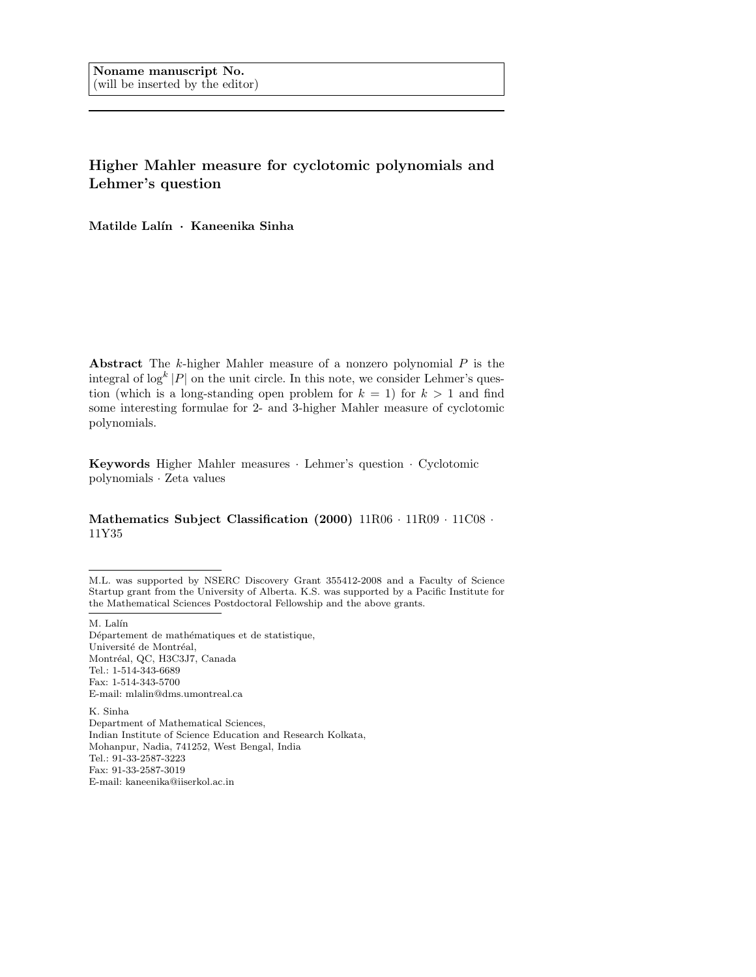Higher Mahler measure for cyclotomic polynomials and Lehmer's question

Matilde Lalín · Kaneenika Sinha

Abstract The  $k$ -higher Mahler measure of a nonzero polynomial  $P$  is the integral of  $\log^k |P|$  on the unit circle. In this note, we consider Lehmer's question (which is a long-standing open problem for  $k = 1$ ) for  $k > 1$  and find some interesting formulae for 2- and 3-higher Mahler measure of cyclotomic polynomials.

Keywords Higher Mahler measures · Lehmer's question · Cyclotomic polynomials · Zeta values

## Mathematics Subject Classification (2000) 11R06 · 11R09 · 11C08 · 11Y35

 $M.$  Lalín  $\,$ 

Département de mathématiques et de statistique, Université de Montréal, Montréal, QC, H3C3J7, Canada Tel.: 1-514-343-6689 Fax: 1-514-343-5700 E-mail: mlalin@dms.umontreal.ca

K. Sinha Department of Mathematical Sciences, Indian Institute of Science Education and Research Kolkata, Mohanpur, Nadia, 741252, West Bengal, India Tel.: 91-33-2587-3223 Fax: 91-33-2587-3019 E-mail: kaneenika@iiserkol.ac.in

M.L. was supported by NSERC Discovery Grant 355412-2008 and a Faculty of Science Startup grant from the University of Alberta. K.S. was supported by a Pacific Institute for the Mathematical Sciences Postdoctoral Fellowship and the above grants.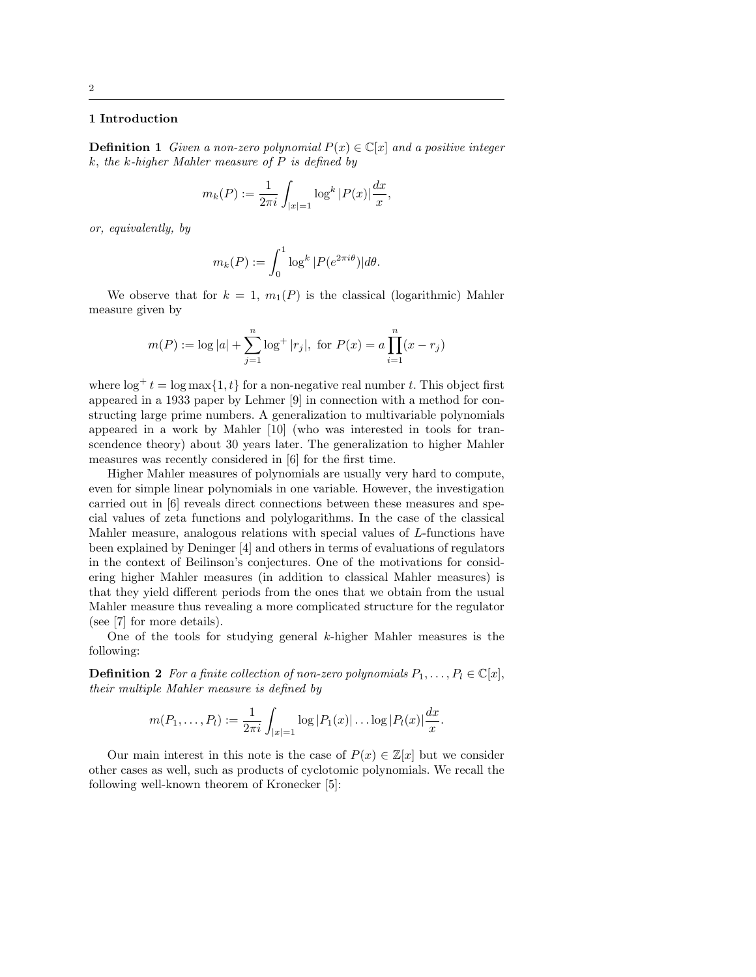# 1 Introduction

**Definition 1** Given a non-zero polynomial  $P(x) \in \mathbb{C}[x]$  and a positive integer  $k,$  the k-higher Mahler measure of  $P$  is defined by

$$
m_k(P) := \frac{1}{2\pi i} \int_{|x|=1} \log^k |P(x)| \frac{dx}{x},
$$

or, equivalently, by

$$
m_k(P) := \int_0^1 \log^k |P(e^{2\pi i \theta})| d\theta.
$$

We observe that for  $k = 1$ ,  $m_1(P)$  is the classical (logarithmic) Mahler measure given by

$$
m(P) := \log |a| + \sum_{j=1}^{n} \log^+ |r_j|
$$
, for  $P(x) = a \prod_{i=1}^{n} (x - r_i)$ 

where  $\log^+ t = \log \max\{1, t\}$  for a non-negative real number t. This object first appeared in a 1933 paper by Lehmer [9] in connection with a method for constructing large prime numbers. A generalization to multivariable polynomials appeared in a work by Mahler [10] (who was interested in tools for transcendence theory) about 30 years later. The generalization to higher Mahler measures was recently considered in [6] for the first time.

Higher Mahler measures of polynomials are usually very hard to compute, even for simple linear polynomials in one variable. However, the investigation carried out in [6] reveals direct connections between these measures and special values of zeta functions and polylogarithms. In the case of the classical Mahler measure, analogous relations with special values of L-functions have been explained by Deninger [4] and others in terms of evaluations of regulators in the context of Beilinson's conjectures. One of the motivations for considering higher Mahler measures (in addition to classical Mahler measures) is that they yield different periods from the ones that we obtain from the usual Mahler measure thus revealing a more complicated structure for the regulator (see [7] for more details).

One of the tools for studying general k-higher Mahler measures is the following:

**Definition 2** For a finite collection of non-zero polynomials  $P_1, \ldots, P_l \in \mathbb{C}[x]$ , their multiple Mahler measure is defined by

$$
m(P_1,\ldots,P_l) := \frac{1}{2\pi i} \int_{|x|=1} \log |P_1(x)| \ldots \log |P_l(x)| \frac{dx}{x}.
$$

Our main interest in this note is the case of  $P(x) \in \mathbb{Z}[x]$  but we consider other cases as well, such as products of cyclotomic polynomials. We recall the following well-known theorem of Kronecker [5]: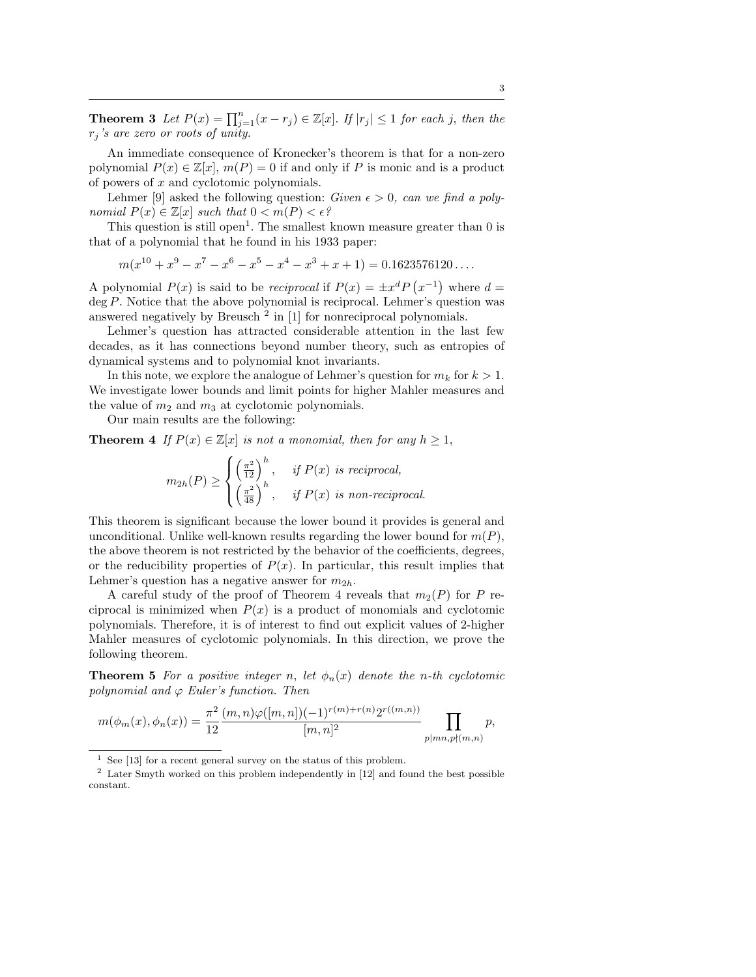**Theorem 3** Let  $P(x) = \prod_{j=1}^{n} (x - r_j) \in \mathbb{Z}[x]$ . If  $|r_j| \leq 1$  for each j, then the  $r_i$ 's are zero or roots of unity.

An immediate consequence of Kronecker's theorem is that for a non-zero polynomial  $P(x) \in \mathbb{Z}[x]$ ,  $m(P) = 0$  if and only if P is monic and is a product of powers of x and cyclotomic polynomials.

Lehmer [9] asked the following question: Given  $\epsilon > 0$ , can we find a polynomial  $P(x) \in \mathbb{Z}[x]$  such that  $0 < m(P) < \epsilon$ ?

This question is still open<sup>1</sup>. The smallest known measure greater than  $0$  is that of a polynomial that he found in his 1933 paper:

 $m(x^{10} + x^9 - x^7 - x^6 - x^5 - x^4 - x^3 + x + 1) = 0.1623576120...$ 

A polynomial  $P(x)$  is said to be *reciprocal* if  $P(x) = \pm x^d P(x^{-1})$  where  $d =$  $\deg P$ . Notice that the above polynomial is reciprocal. Lehmer's question was answered negatively by Breusch<sup>2</sup> in  $[1]$  for nonreciprocal polynomials.

Lehmer's question has attracted considerable attention in the last few decades, as it has connections beyond number theory, such as entropies of dynamical systems and to polynomial knot invariants.

In this note, we explore the analogue of Lehmer's question for  $m_k$  for  $k > 1$ . We investigate lower bounds and limit points for higher Mahler measures and the value of  $m_2$  and  $m_3$  at cyclotomic polynomials.

Our main results are the following:

**Theorem 4** If  $P(x) \in \mathbb{Z}[x]$  is not a monomial, then for any  $h \geq 1$ ,

$$
m_{2h}(P) \ge \begin{cases} \left(\frac{\pi^2}{12}\right)^h, & \text{if } P(x) \text{ is reciprocal,} \\ \left(\frac{\pi^2}{48}\right)^h, & \text{if } P(x) \text{ is non-reciprocal.} \end{cases}
$$

This theorem is significant because the lower bound it provides is general and unconditional. Unlike well-known results regarding the lower bound for  $m(P)$ , the above theorem is not restricted by the behavior of the coefficients, degrees, or the reducibility properties of  $P(x)$ . In particular, this result implies that Lehmer's question has a negative answer for  $m_{2h}$ .

A careful study of the proof of Theorem 4 reveals that  $m_2(P)$  for P reciprocal is minimized when  $P(x)$  is a product of monomials and cyclotomic polynomials. Therefore, it is of interest to find out explicit values of 2-higher Mahler measures of cyclotomic polynomials. In this direction, we prove the following theorem.

**Theorem 5** For a positive integer n, let  $\phi_n(x)$  denote the n-th cyclotomic polynomial and  $\varphi$  Euler's function. Then

$$
m(\phi_m(x), \phi_n(x)) = \frac{\pi^2}{12} \frac{(m, n)\varphi([m, n])(-1)^{r(m) + r(n)}2^{r((m, n))}}{[m, n]^2} \prod_{p|mn, p\nmid (m, n)} p,
$$

 $1$  See [13] for a recent general survey on the status of this problem.

 $^2\,$  Later Smyth worked on this problem independently in [12] and found the best possible constant.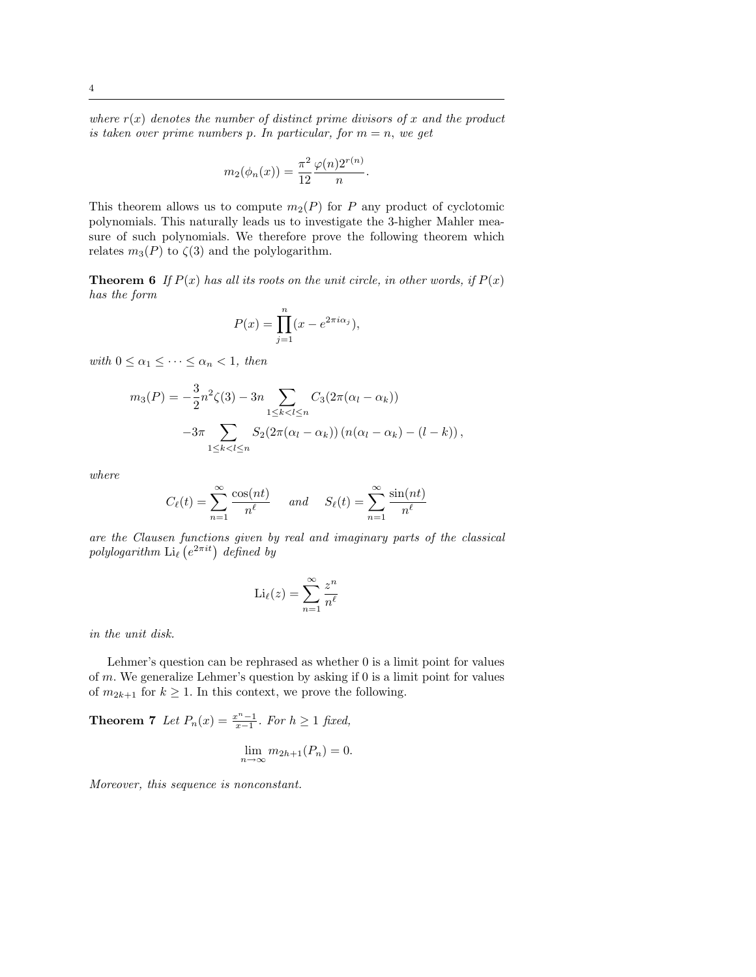where  $r(x)$  denotes the number of distinct prime divisors of x and the product is taken over prime numbers p. In particular, for  $m = n$ , we get

$$
m_2(\phi_n(x)) = \frac{\pi^2}{12} \frac{\varphi(n)2^{r(n)}}{n}
$$

.

This theorem allows us to compute  $m_2(P)$  for P any product of cyclotomic polynomials. This naturally leads us to investigate the 3-higher Mahler measure of such polynomials. We therefore prove the following theorem which relates  $m_3(P)$  to  $\zeta(3)$  and the polylogarithm.

**Theorem 6** If  $P(x)$  has all its roots on the unit circle, in other words, if  $P(x)$ has the form

$$
P(x) = \prod_{j=1}^{n} (x - e^{2\pi i \alpha_j}),
$$

with  $0 \leq \alpha_1 \leq \cdots \leq \alpha_n < 1$ , then

$$
m_3(P) = -\frac{3}{2}n^2\zeta(3) - 3n \sum_{1 \le k < l \le n} C_3(2\pi(\alpha_l - \alpha_k))
$$

$$
-3\pi \sum_{1 \le k < l \le n} S_2(2\pi(\alpha_l - \alpha_k)) (n(\alpha_l - \alpha_k) - (l - k)),
$$

where

$$
C_{\ell}(t) = \sum_{n=1}^{\infty} \frac{\cos(nt)}{n^{\ell}} \quad \text{and} \quad S_{\ell}(t) = \sum_{n=1}^{\infty} \frac{\sin(nt)}{n^{\ell}}
$$

are the Clausen functions given by real and imaginary parts of the classical polylogarithm  $\text{Li}_{\ell}\left(e^{2\pi it}\right)$  defined by

$$
\mathrm{Li}_{\ell}(z) = \sum_{n=1}^{\infty} \frac{z^n}{n^{\ell}}
$$

in the unit disk.

Lehmer's question can be rephrased as whether 0 is a limit point for values of  $m$ . We generalize Lehmer's question by asking if 0 is a limit point for values of  $m_{2k+1}$  for  $k \geq 1$ . In this context, we prove the following.

**Theorem 7** Let  $P_n(x) = \frac{x^n - 1}{x - 1}$ . For  $h \ge 1$  fixed,

$$
\lim_{n \to \infty} m_{2h+1}(P_n) = 0.
$$

Moreover, this sequence is nonconstant.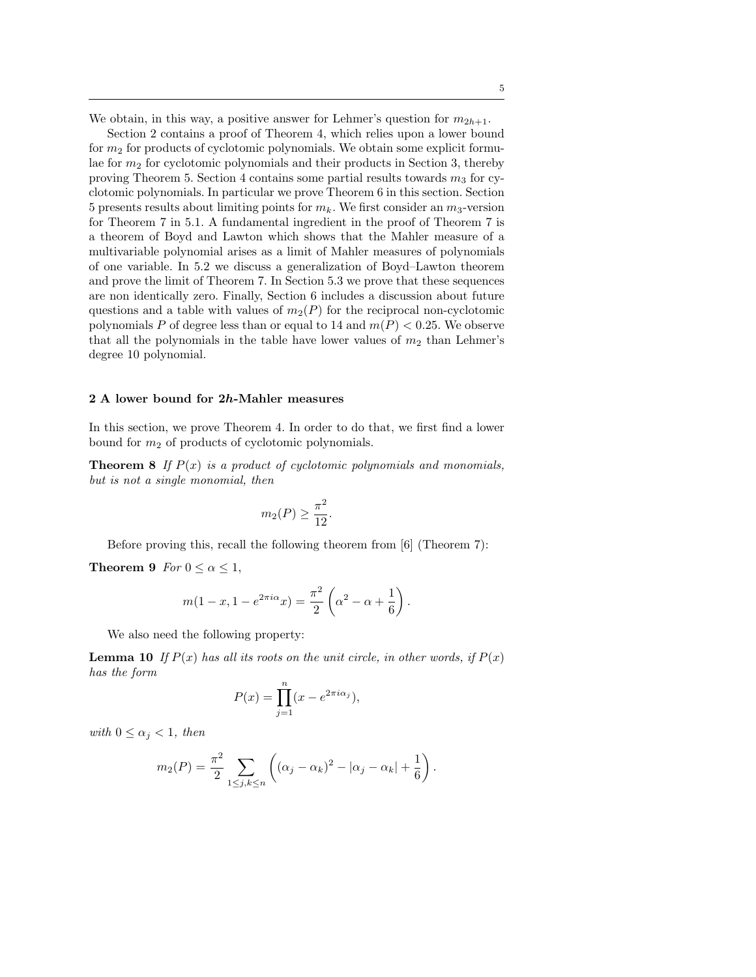We obtain, in this way, a positive answer for Lehmer's question for  $m_{2h+1}$ .

Section 2 contains a proof of Theorem 4, which relies upon a lower bound for  $m_2$  for products of cyclotomic polynomials. We obtain some explicit formulae for  $m_2$  for cyclotomic polynomials and their products in Section 3, thereby proving Theorem 5. Section 4 contains some partial results towards  $m_3$  for cyclotomic polynomials. In particular we prove Theorem 6 in this section. Section 5 presents results about limiting points for  $m_k$ . We first consider an  $m_3$ -version for Theorem 7 in 5.1. A fundamental ingredient in the proof of Theorem 7 is a theorem of Boyd and Lawton which shows that the Mahler measure of a multivariable polynomial arises as a limit of Mahler measures of polynomials of one variable. In 5.2 we discuss a generalization of Boyd–Lawton theorem and prove the limit of Theorem 7. In Section 5.3 we prove that these sequences are non identically zero. Finally, Section 6 includes a discussion about future questions and a table with values of  $m_2(P)$  for the reciprocal non-cyclotomic polynomials P of degree less than or equal to 14 and  $m(P) < 0.25$ . We observe that all the polynomials in the table have lower values of  $m_2$  than Lehmer's degree 10 polynomial.

## 2 A lower bound for 2h-Mahler measures

In this section, we prove Theorem 4. In order to do that, we first find a lower bound for  $m_2$  of products of cyclotomic polynomials.

**Theorem 8** If  $P(x)$  is a product of cyclotomic polynomials and monomials, but is not a single monomial, then

$$
m_2(P) \ge \frac{\pi^2}{12}.
$$

Before proving this, recall the following theorem from [6] (Theorem 7):

**Theorem 9** For  $0 \leq \alpha \leq 1$ ,

$$
m(1-x, 1-e^{2\pi i \alpha}x) = \frac{\pi^2}{2} \left(\alpha^2 - \alpha + \frac{1}{6}\right).
$$

We also need the following property:

**Lemma 10** If  $P(x)$  has all its roots on the unit circle, in other words, if  $P(x)$ has the form

$$
P(x) = \prod_{j=1}^{n} (x - e^{2\pi i \alpha_j}),
$$

with  $0 \leq \alpha_j < 1$ , then

$$
m_2(P) = \frac{\pi^2}{2} \sum_{1 \le j,k \le n} \left( (\alpha_j - \alpha_k)^2 - |\alpha_j - \alpha_k| + \frac{1}{6} \right).
$$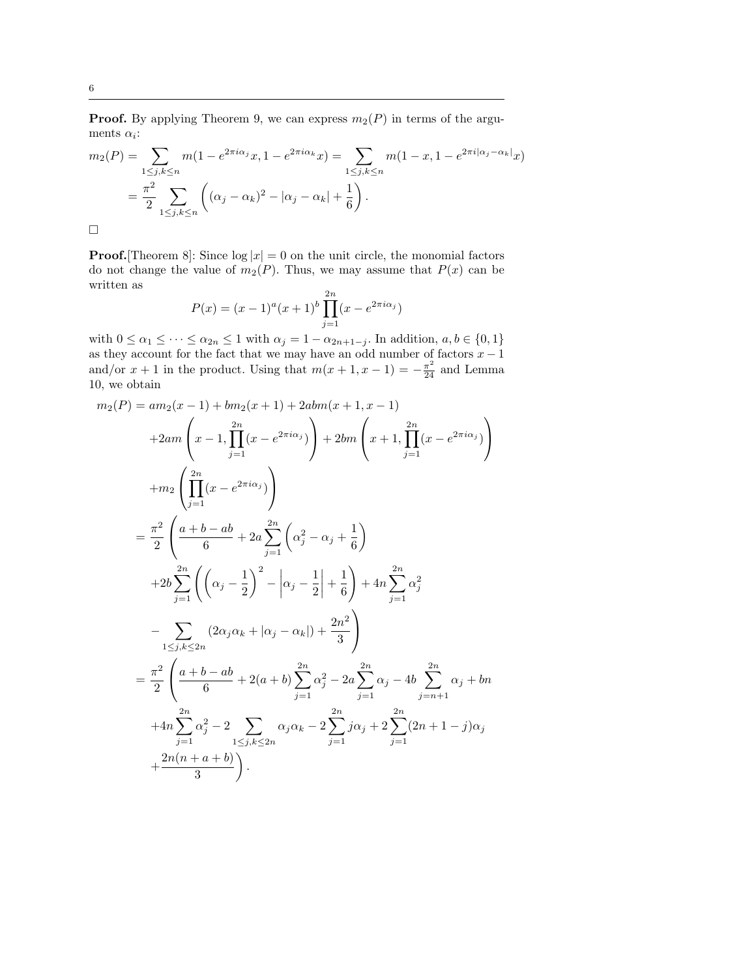**Proof.** By applying Theorem 9, we can express  $m_2(P)$  in terms of the arguments  $\alpha_i$ :

$$
m_2(P) = \sum_{1 \le j,k \le n} m(1 - e^{2\pi i \alpha_j} x, 1 - e^{2\pi i \alpha_k} x) = \sum_{1 \le j,k \le n} m(1 - x, 1 - e^{2\pi i |\alpha_j - \alpha_k|} x)
$$
  
= 
$$
\frac{\pi^2}{2} \sum_{1 \le j,k \le n} \left( (\alpha_j - \alpha_k)^2 - |\alpha_j - \alpha_k| + \frac{1}{6} \right).
$$

**Proof.** Theorem 8: Since  $log |x| = 0$  on the unit circle, the monomial factors do not change the value of  $m_2(P)$ . Thus, we may assume that  $P(x)$  can be written as

$$
P(x) = (x - 1)^{a} (x + 1)^{b} \prod_{j=1}^{2n} (x - e^{2\pi i \alpha_j})
$$

with  $0 \leq \alpha_1 \leq \cdots \leq \alpha_{2n} \leq 1$  with  $\alpha_j = 1 - \alpha_{2n+1-j}$ . In addition,  $a, b \in \{0, 1\}$ as they account for the fact that we may have an odd number of factors  $x - 1$ and/or  $x + 1$  in the product. Using that  $m(x + 1, x - 1) = -\frac{\pi^2}{24}$  and Lemma 10, we obtain

$$
m_2(P) = am_2(x-1) + bm_2(x+1) + 2abm(x+1, x-1)
$$
  
+2am  $\left(x - 1, \prod_{j=1}^{2n} (x - e^{2\pi i \alpha_j})\right) + 2bm \left(x + 1, \prod_{j=1}^{2n} (x - e^{2\pi i \alpha_j})\right)$   
+
$$
m_2 \left(\prod_{j=1}^{2n} (x - e^{2\pi i \alpha_j})\right)
$$
  
= 
$$
\frac{\pi^2}{2} \left(\frac{a+b-ab}{6} + 2a \sum_{j=1}^{2n} \left(\alpha_j^2 - \alpha_j + \frac{1}{6}\right)
$$
  
+2b 
$$
\sum_{j=1}^{2n} \left(\left(\alpha_j - \frac{1}{2}\right)^2 - \left|\alpha_j - \frac{1}{2}\right| + \frac{1}{6}\right) + 4n \sum_{j=1}^{2n} \alpha_j^2
$$
  
-
$$
\sum_{1 \le j,k \le 2n} (2\alpha_j \alpha_k + |\alpha_j - \alpha_k|) + \frac{2n^2}{3}
$$
  
= 
$$
\frac{\pi^2}{2} \left(\frac{a+b-ab}{6} + 2(a+b) \sum_{j=1}^{2n} \alpha_j^2 - 2a \sum_{j=1}^{2n} \alpha_j - 4b \sum_{j=n+1}^{2n} \alpha_j + bn
$$
  
+4n 
$$
\sum_{j=1}^{2n} \alpha_j^2 - 2 \sum_{1 \le j,k \le 2n} \alpha_j \alpha_k - 2 \sum_{j=1}^{2n} j \alpha_j + 2 \sum_{j=1}^{2n} (2n + 1 - j) \alpha_j
$$
  
+ 
$$
\frac{2n(n+a+b)}{3}
$$
.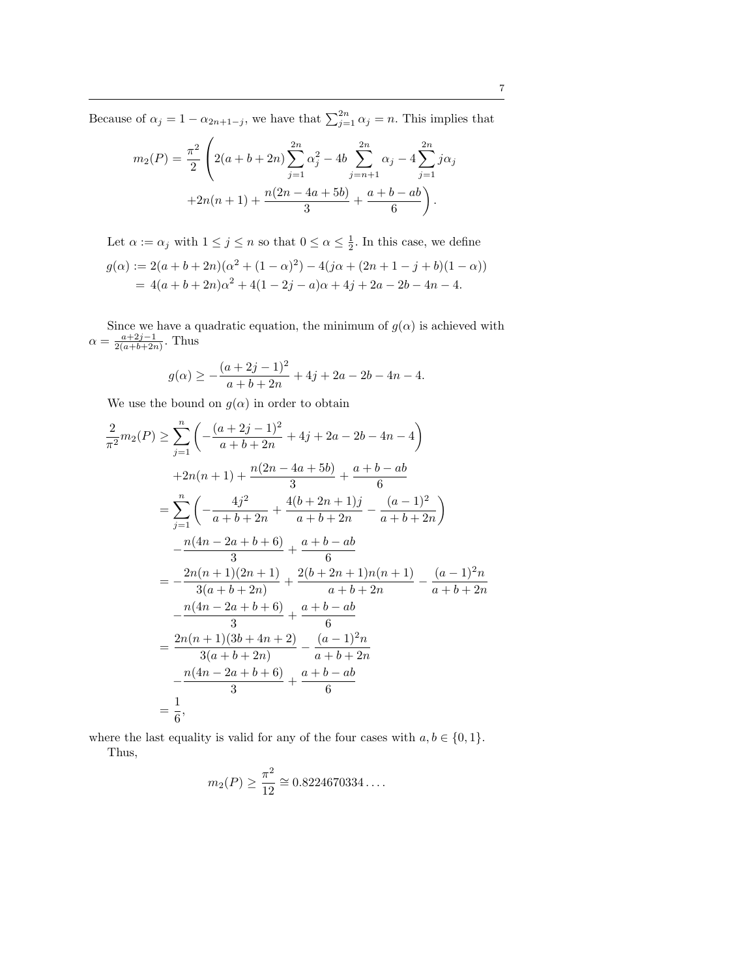Because of  $\alpha_j = 1 - \alpha_{2n+1-j}$ , we have that  $\sum_{j=1}^{2n} \alpha_j = n$ . This implies that

$$
m_2(P) = \frac{\pi^2}{2} \left( 2(a+b+2n) \sum_{j=1}^{2n} \alpha_j^2 - 4b \sum_{j=n+1}^{2n} \alpha_j - 4 \sum_{j=1}^{2n} j \alpha_j + 2n(n+1) + \frac{n(2n-4a+5b)}{3} + \frac{a+b-ab}{6} \right).
$$

Let  $\alpha := \alpha_j$  with  $1 \leq j \leq n$  so that  $0 \leq \alpha \leq \frac{1}{2}$ . In this case, we define  $g(\alpha) := 2(a+b+2n)(\alpha^2 + (1-\alpha)^2) - 4(j\alpha + (2n+1-j+b)(1-\alpha))$  $= 4(a+b+2n)\alpha^{2} + 4(1-2j-a)\alpha + 4j + 2a - 2b - 4n - 4.$ 

Since we have a quadratic equation, the minimum of  $g(\alpha)$  is achieved with  $\alpha = \frac{a+2j-1}{2(a+b+2n)}$ . Thus

$$
g(\alpha) \ge -\frac{(a+2j-1)^2}{a+b+2n} + 4j + 2a - 2b - 4n - 4.
$$

We use the bound on  $g(\alpha)$  in order to obtain

$$
\frac{2}{\pi^2} m_2(P) \ge \sum_{j=1}^n \left( -\frac{(a+2j-1)^2}{a+b+2n} + 4j + 2a - 2b - 4n - 4 \right)
$$
  
+2n(n+1) +  $\frac{n(2n - 4a + 5b)}{3} + \frac{a+b - ab}{6}$   
=  $\sum_{j=1}^n \left( -\frac{4j^2}{a+b+2n} + \frac{4(b+2n+1)j}{a+b+2n} - \frac{(a-1)^2}{a+b+2n} \right)$   
 $-\frac{n(4n - 2a + b + 6)}{3} + \frac{a+b - ab}{6}$   
=  $-\frac{2n(n+1)(2n+1)}{3(a+b+2n)} + \frac{2(b+2n+1)n(n+1)}{a+b+2n} - \frac{(a-1)^2n}{a+b+2n}$   
 $-\frac{n(4n - 2a + b + 6)}{3} + \frac{a+b - ab}{6}$   
=  $\frac{2n(n+1)(3b+4n+2)}{3(a+b+2n)} - \frac{(a-1)^2n}{a+b+2n}$   
 $-\frac{n(4n - 2a + b + 6)}{3} + \frac{a+b - ab}{6}$   
=  $\frac{1}{6}$ ,

where the last equality is valid for any of the four cases with  $a, b \in \{0, 1\}.$ Thus,

$$
m_2(P) \ge \frac{\pi^2}{12} \cong 0.8224670334\dots.
$$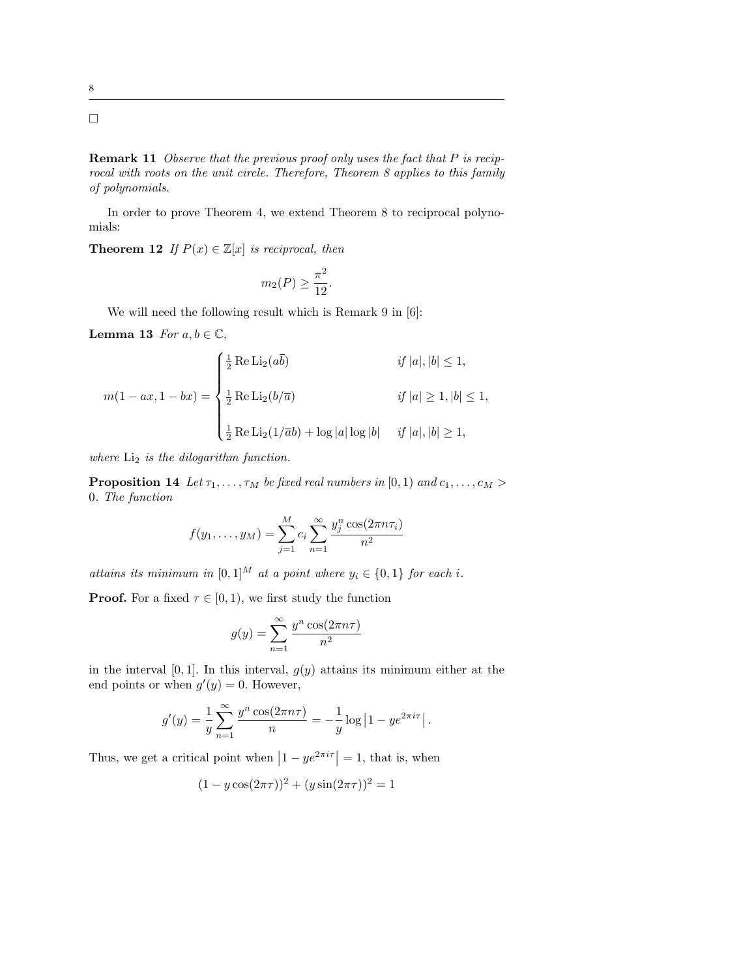8  $\Box$ 

Remark 11 Observe that the previous proof only uses the fact that P is reciprocal with roots on the unit circle. Therefore, Theorem 8 applies to this family of polynomials.

In order to prove Theorem 4, we extend Theorem 8 to reciprocal polynomials:

**Theorem 12** If  $P(x) \in \mathbb{Z}[x]$  is reciprocal, then

$$
m_2(P) \ge \frac{\pi^2}{12}
$$

.

We will need the following result which is Remark 9 in [6]:

Lemma 13 For  $a, b \in \mathbb{C}$ ,

$$
m(1 - ax, 1 - bx) = \begin{cases} \frac{1}{2} \operatorname{Re} \operatorname{Li}_2(a\overline{b}) & \text{if } |a|, |b| \le 1, \\ \frac{1}{2} \operatorname{Re} \operatorname{Li}_2(b/\overline{a}) & \text{if } |a| \ge 1, |b| \le 1, \\ \frac{1}{2} \operatorname{Re} \operatorname{Li}_2(1/\overline{a}b) + \log |a| \log |b| & \text{if } |a|, |b| \ge 1, \end{cases}
$$

where  $\text{Li}_2$  is the dilogarithm function.

**Proposition 14** Let  $\tau_1, \ldots, \tau_M$  be fixed real numbers in  $[0, 1)$  and  $c_1, \ldots, c_M >$ 0. The function

$$
f(y_1,..., y_M) = \sum_{j=1}^{M} c_j \sum_{n=1}^{\infty} \frac{y_j^n \cos(2\pi n \tau_i)}{n^2}
$$

attains its minimum in  $[0,1]^M$  at a point where  $y_i \in \{0,1\}$  for each i.

**Proof.** For a fixed  $\tau \in [0, 1)$ , we first study the function

$$
g(y) = \sum_{n=1}^{\infty} \frac{y^n \cos(2\pi n \tau)}{n^2}
$$

in the interval  $[0, 1]$ . In this interval,  $g(y)$  attains its minimum either at the end points or when  $g'(y) = 0$ . However,

$$
g'(y) = \frac{1}{y} \sum_{n=1}^{\infty} \frac{y^n \cos(2\pi n \tau)}{n} = -\frac{1}{y} \log |1 - ye^{2\pi i \tau}|
$$

.

Thus, we get a critical point when  $\left|1 - ye^{2\pi i \tau}\right| = 1$ , that is, when

$$
(1 - y\cos(2\pi\tau))^2 + (y\sin(2\pi\tau))^2 = 1
$$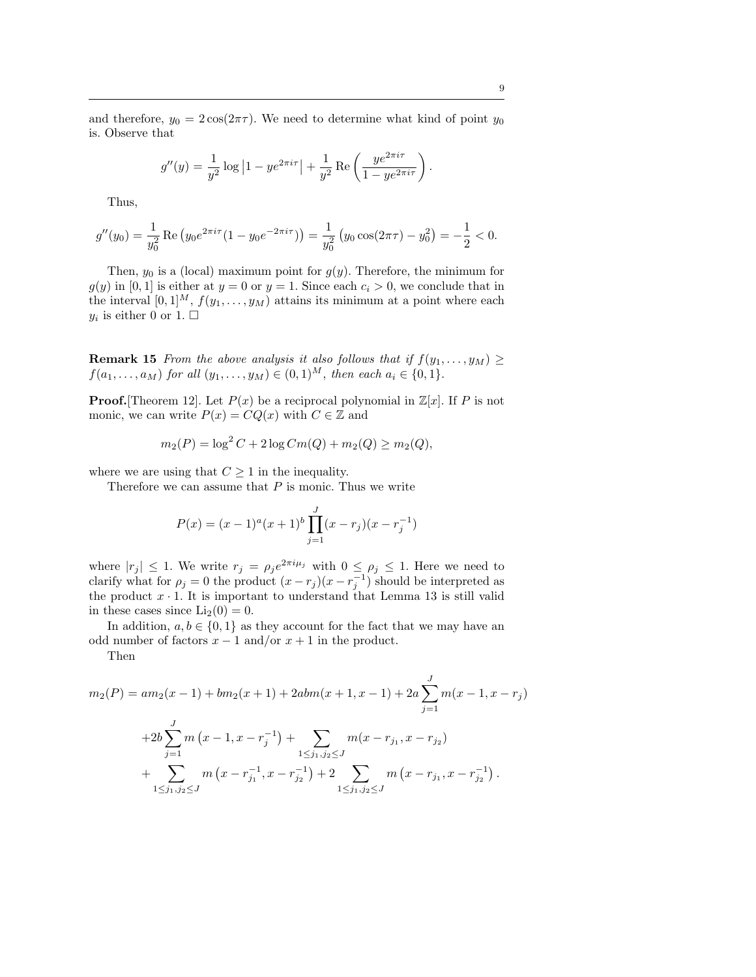and therefore,  $y_0 = 2\cos(2\pi\tau)$ . We need to determine what kind of point  $y_0$ is. Observe that

$$
g''(y) = \frac{1}{y^2} \log |1 - ye^{2\pi i \tau}| + \frac{1}{y^2} \operatorname{Re} \left( \frac{ye^{2\pi i \tau}}{1 - ye^{2\pi i \tau}} \right).
$$

Thus,

$$
g''(y_0) = \frac{1}{y_0^2} \operatorname{Re} \left( y_0 e^{2\pi i \tau} (1 - y_0 e^{-2\pi i \tau}) \right) = \frac{1}{y_0^2} \left( y_0 \cos(2\pi \tau) - y_0^2 \right) = -\frac{1}{2} < 0.
$$

Then,  $y_0$  is a (local) maximum point for  $g(y)$ . Therefore, the minimum for  $g(y)$  in [0, 1] is either at  $y = 0$  or  $y = 1$ . Since each  $c_i > 0$ , we conclude that in the interval  $[0, 1]^M$ ,  $f(y_1, \ldots, y_M)$  attains its minimum at a point where each  $y_i$  is either 0 or 1.  $\Box$ 

**Remark 15** From the above analysis it also follows that if  $f(y_1, \ldots, y_M) \ge$  $f(a_1, \ldots, a_M)$  for all  $(y_1, \ldots, y_M) \in (0, 1)^M$ , then each  $a_i \in \{0, 1\}$ .

**Proof.** Theorem 12. Let  $P(x)$  be a reciprocal polynomial in  $\mathbb{Z}[x]$ . If P is not monic, we can write  $P(x) = CQ(x)$  with  $C \in \mathbb{Z}$  and

$$
m_2(P) = \log^2 C + 2\log C m(Q) + m_2(Q) \ge m_2(Q),
$$

where we are using that  $C \geq 1$  in the inequality.

Therefore we can assume that  $P$  is monic. Thus we write

$$
P(x) = (x - 1)^{a}(x + 1)^{b} \prod_{j=1}^{J} (x - r_{j})(x - r_{j}^{-1})
$$

where  $|r_j| \leq 1$ . We write  $r_j = \rho_j e^{2\pi i \mu_j}$  with  $0 \leq \rho_j \leq 1$ . Here we need to clarify what for  $\rho_j = 0$  the product  $(x - r_j)(x - r_j^{-1})$  should be interpreted as the product  $x \cdot 1$ . It is important to understand that Lemma 13 is still valid in these cases since  $Li_2(0) = 0$ .

In addition,  $a, b \in \{0, 1\}$  as they account for the fact that we may have an odd number of factors  $x - 1$  and/or  $x + 1$  in the product.

Then

$$
m_2(P) = am_2(x - 1) + bm_2(x + 1) + 2abm(x + 1, x - 1) + 2a \sum_{j=1}^{J} m(x - 1, x - r_j)
$$
  
+2b  $\sum_{j=1}^{J} m(x - 1, x - r_j^{-1}) + \sum_{1 \le j_1, j_2 \le J} m(x - r_{j_1}, x - r_{j_2})$   
+  $\sum_{1 \le j_1, j_2 \le J} m(x - r_{j_1}^{-1}, x - r_{j_2}^{-1}) + 2 \sum_{1 \le j_1, j_2 \le J} m(x - r_{j_1}, x - r_{j_2}^{-1}).$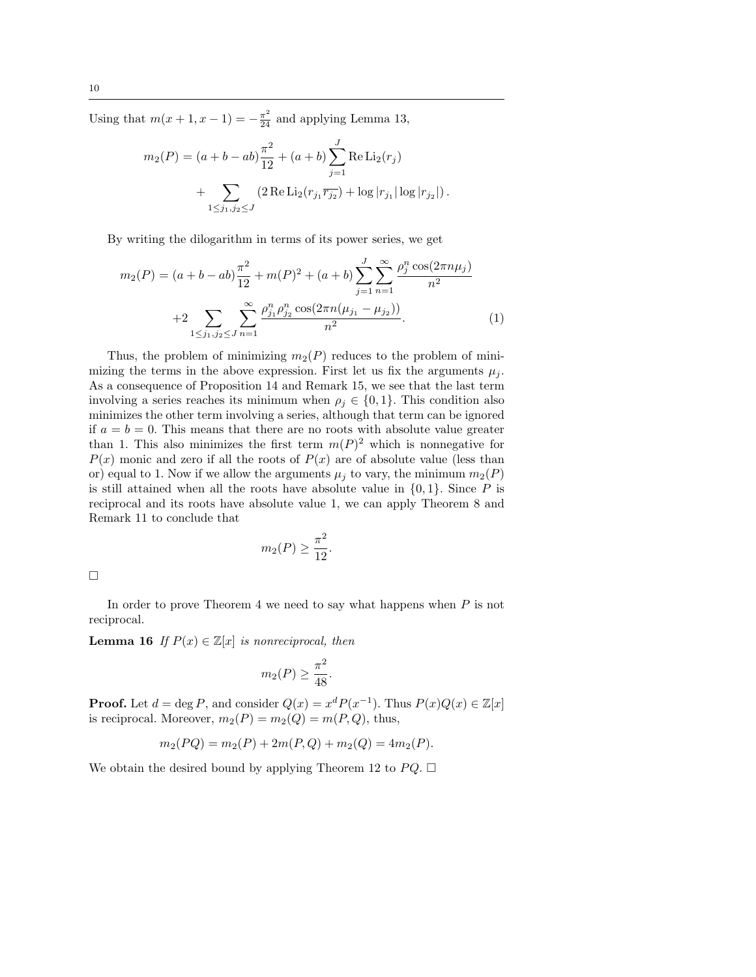Using that  $m(x+1, x-1) = -\frac{\pi^2}{24}$  and applying Lemma 13,

$$
m_2(P) = (a+b-ab)\frac{\pi^2}{12} + (a+b)\sum_{j=1}^J \text{Re}\,\text{Li}_2(r_j) + \sum_{1 \le j_1, j_2 \le J} (2\,\text{Re}\,\text{Li}_2(r_{j_1}\overline{r_{j_2}}) + \log|r_{j_1}|\log|r_{j_2}|\text{.})
$$

By writing the dilogarithm in terms of its power series, we get

$$
m_2(P) = (a+b-ab)\frac{\pi^2}{12} + m(P)^2 + (a+b)\sum_{j=1}^J \sum_{n=1}^\infty \frac{\rho_j^n \cos(2\pi n\mu_j)}{n^2} + 2\sum_{1 \le j_1, j_2 \le J} \sum_{n=1}^\infty \frac{\rho_{j_1}^n \rho_{j_2}^n \cos(2\pi n(\mu_{j_1} - \mu_{j_2}))}{n^2}.
$$
 (1)

Thus, the problem of minimizing  $m_2(P)$  reduces to the problem of minimizing the terms in the above expression. First let us fix the arguments  $\mu_i$ . As a consequence of Proposition 14 and Remark 15, we see that the last term involving a series reaches its minimum when  $\rho_j \in \{0, 1\}$ . This condition also minimizes the other term involving a series, although that term can be ignored if  $a = b = 0$ . This means that there are no roots with absolute value greater than 1. This also minimizes the first term  $m(P)^2$  which is nonnegative for  $P(x)$  monic and zero if all the roots of  $P(x)$  are of absolute value (less than or) equal to 1. Now if we allow the arguments  $\mu_j$  to vary, the minimum  $m_2(P)$ is still attained when all the roots have absolute value in  $\{0, 1\}$ . Since P is reciprocal and its roots have absolute value 1, we can apply Theorem 8 and Remark 11 to conclude that

$$
m_2(P) \ge \frac{\pi^2}{12}
$$

.

 $\Box$ 

In order to prove Theorem 4 we need to say what happens when  $P$  is not reciprocal.

**Lemma 16** If  $P(x) \in \mathbb{Z}[x]$  is nonreciprocal, then

$$
m_2(P) \ge \frac{\pi^2}{48}.
$$

**Proof.** Let  $d = \deg P$ , and consider  $Q(x) = x^d P(x^{-1})$ . Thus  $P(x)Q(x) \in \mathbb{Z}[x]$ is reciprocal. Moreover,  $m_2(P) = m_2(Q) = m(P,Q)$ , thus,

$$
m_2(PQ) = m_2(P) + 2m(P,Q) + m_2(Q) = 4m_2(P).
$$

We obtain the desired bound by applying Theorem 12 to  $PQ$ .  $\Box$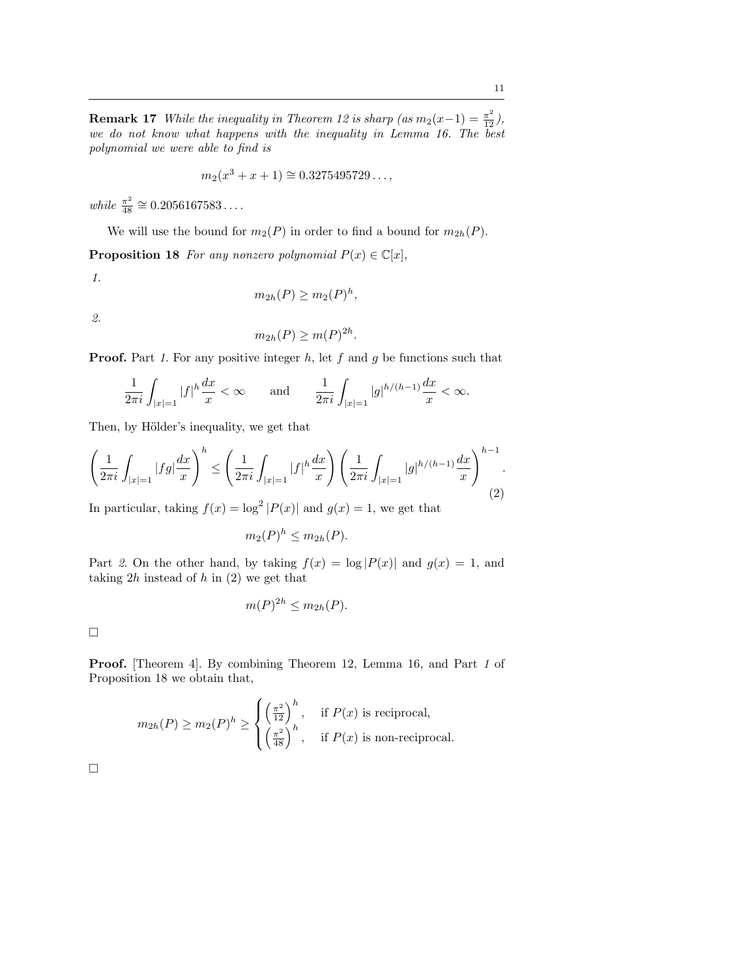**Remark 17** While the inequality in Theorem 12 is sharp  $(as\ m_2(x-1) = \frac{\pi^2}{12})$ , we do not know what happens with the inequality in Lemma 16. The best polynomial we were able to find is

$$
m_2(x^3 + x + 1) \cong 0.3275495729\ldots,
$$

while  $\frac{\pi^2}{48}$  $\frac{\pi^2}{48} \cong 0.2056167583\ldots$ 

We will use the bound for  $m_2(P)$  in order to find a bound for  $m_{2h}(P)$ .

**Proposition 18** For any nonzero polynomial  $P(x) \in \mathbb{C}[x]$ ,

1.

$$
m_{2h}(P) \ge m_2(P)^h,
$$

2.

$$
m_{2h}(P) \ge m(P)^{2h}.
$$

**Proof.** Part 1. For any positive integer h, let f and g be functions such that

$$
\frac{1}{2\pi i} \int_{|x|=1} |f|^h \frac{dx}{x} < \infty \quad \text{and} \quad \frac{1}{2\pi i} \int_{|x|=1} |g|^{h/(h-1)} \frac{dx}{x} < \infty.
$$

Then, by Hölder's inequality, we get that

$$
\left(\frac{1}{2\pi i}\int_{|x|=1}|fg|\frac{dx}{x}\right)^h \le \left(\frac{1}{2\pi i}\int_{|x|=1}|f|^h\frac{dx}{x}\right)\left(\frac{1}{2\pi i}\int_{|x|=1}|g|^{h/(h-1)}\frac{dx}{x}\right)^{h-1}.
$$
\n(2)

In particular, taking  $f(x) = \log^2 |P(x)|$  and  $g(x) = 1$ , we get that

$$
m_2(P)^h \leq m_{2h}(P).
$$

Part 2. On the other hand, by taking  $f(x) = \log |P(x)|$  and  $g(x) = 1$ , and taking  $2h$  instead of  $h$  in  $(2)$  we get that

$$
m(P)^{2h} \leq m_{2h}(P).
$$

 $\hfill \square$ 

Proof. [Theorem 4]. By combining Theorem 12, Lemma 16, and Part 1 of Proposition 18 we obtain that,

$$
m_{2h}(P) \ge m_2(P)^h \ge \begin{cases} \left(\frac{\pi^2}{12}\right)^h, & \text{if } P(x) \text{ is reciprocal,} \\ \left(\frac{\pi^2}{48}\right)^h, & \text{if } P(x) \text{ is non-reciprocal.} \end{cases}
$$

 $\hfill \square$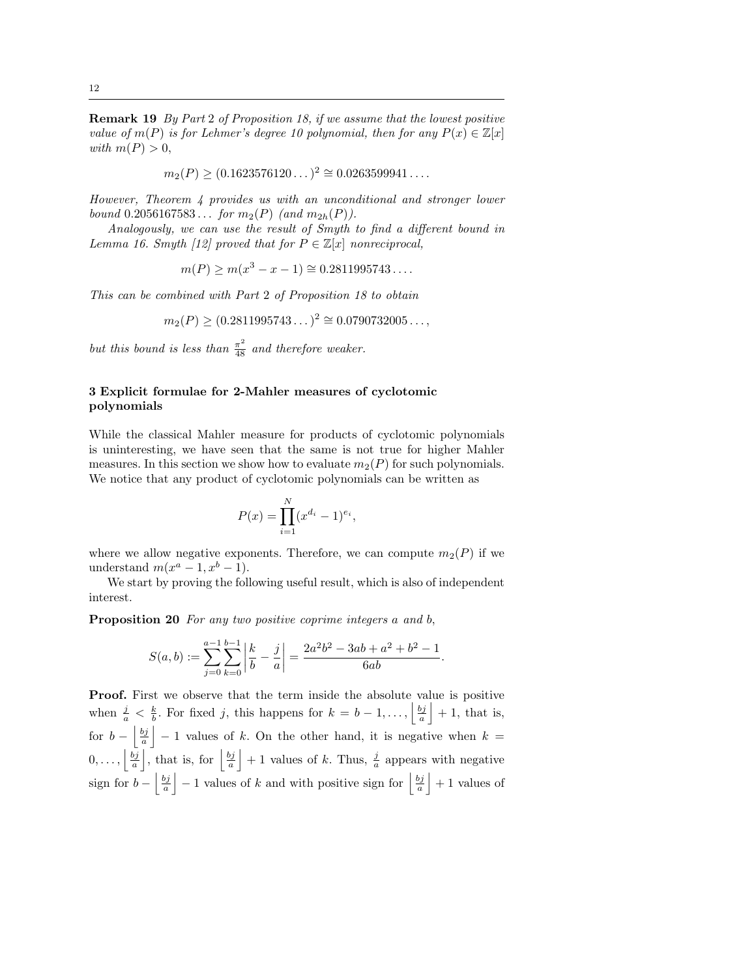Remark 19 By Part 2 of Proposition 18, if we assume that the lowest positive value of  $m(P)$  is for Lehmer's degree 10 polynomial, then for any  $P(x) \in \mathbb{Z}[x]$ with  $m(P) > 0$ ,

$$
m_2(P) \ge (0.1623576120\ldots)^2 \cong 0.0263599941\ldots
$$

However, Theorem 4 provides us with an unconditional and stronger lower bound  $0.2056167583...$  for  $m_2(P)$  (and  $m_{2h}(P)$ ).

Analogously, we can use the result of Smyth to find a different bound in Lemma 16. Smyth [12] proved that for  $P \in \mathbb{Z}[x]$  nonreciprocal,

$$
m(P) \ge m(x^3 - x - 1) \approx 0.2811995743\dots.
$$

This can be combined with Part 2 of Proposition 18 to obtain

$$
m_2(P) \ge (0.2811995743\ldots)^2 \cong 0.0790732005\ldots,
$$

but this bound is less than  $\frac{\pi^2}{48}$  and therefore weaker.

## 3 Explicit formulae for 2-Mahler measures of cyclotomic polynomials

While the classical Mahler measure for products of cyclotomic polynomials is uninteresting, we have seen that the same is not true for higher Mahler measures. In this section we show how to evaluate  $m_2(P)$  for such polynomials. We notice that any product of cyclotomic polynomials can be written as

$$
P(x) = \prod_{i=1}^{N} (x^{d_i} - 1)^{e_i},
$$

where we allow negative exponents. Therefore, we can compute  $m_2(P)$  if we understand  $m(x^a - 1, x^b - 1)$ .

We start by proving the following useful result, which is also of independent interest.

Proposition 20 For any two positive coprime integers a and b,

$$
S(a,b) := \sum_{j=0}^{a-1} \sum_{k=0}^{b-1} \left| \frac{k}{b} - \frac{j}{a} \right| = \frac{2a^2b^2 - 3ab + a^2 + b^2 - 1}{6ab}.
$$

Proof. First we observe that the term inside the absolute value is positive when  $\frac{j}{a} < \frac{k}{b}$ . For fixed j, this happens for  $k = b - 1, \ldots, \left| \frac{bj}{a} \right| + 1$ , that is, for  $b - \left| \frac{bj}{a} \right| - 1$  values of k. On the other hand, it is negative when  $k =$  $0, \ldots, \left| \frac{b_j}{a} \right|$ , that is, for  $\left| \frac{b_j}{a} \right| + 1$  values of k. Thus,  $\frac{j}{a}$  appears with negative sign for  $b - \left| \frac{bj}{a} \right| - 1$  values of k and with positive sign for  $\left| \frac{bj}{a} \right| + 1$  values of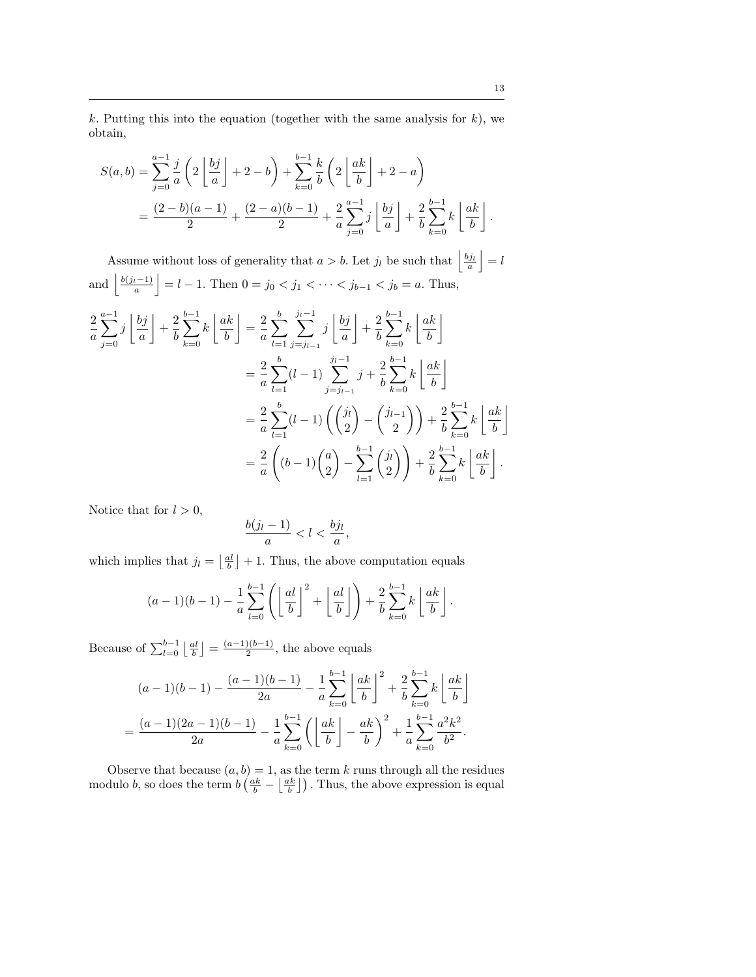k. Putting this into the equation (together with the same analysis for  $k$ ), we obtain,

$$
S(a,b) = \sum_{j=0}^{a-1} \frac{j}{a} \left( 2 \left\lfloor \frac{bj}{a} \right\rfloor + 2 - b \right) + \sum_{k=0}^{b-1} \frac{k}{b} \left( 2 \left\lfloor \frac{ak}{b} \right\rfloor + 2 - a \right)
$$
  
= 
$$
\frac{(2-b)(a-1)}{2} + \frac{(2-a)(b-1)}{2} + \frac{2}{a} \sum_{j=0}^{a-1} j \left\lfloor \frac{bj}{a} \right\rfloor + \frac{2}{b} \sum_{k=0}^{b-1} k \left\lfloor \frac{ak}{b} \right\rfloor.
$$

Assume without loss of generality that  $a > b$ . Let  $j_l$  be such that  $\left| \frac{bj_l}{a} \right| = l$ and  $\left| \frac{b(j_l-1)}{a} \right| = l - 1$ . Then  $0 = j_0 < j_1 < \cdots < j_{b-1} < j_b = a$ . Thus,

$$
\frac{2}{a} \sum_{j=0}^{a-1} j \left[ \frac{bj}{a} \right] + \frac{2}{b} \sum_{k=0}^{b-1} k \left[ \frac{ak}{b} \right] = \frac{2}{a} \sum_{l=1}^{b} \sum_{j=j_{l-1}}^{j_l-1} j \left[ \frac{bj}{a} \right] + \frac{2}{b} \sum_{k=0}^{b-1} k \left[ \frac{ak}{b} \right]
$$

$$
= \frac{2}{a} \sum_{l=1}^{b} (l-1) \sum_{j=j_{l-1}}^{j_l-1} j + \frac{2}{b} \sum_{k=0}^{b-1} k \left[ \frac{ak}{b} \right]
$$

$$
= \frac{2}{a} \sum_{l=1}^{b} (l-1) \left( \binom{j_l}{2} - \binom{j_{l-1}}{2} \right) + \frac{2}{b} \sum_{k=0}^{b-1} k \left[ \frac{ak}{b} \right]
$$

$$
= \frac{2}{a} \left( (b-1) \binom{a}{2} - \sum_{l=1}^{b-1} \binom{j_l}{2} \right) + \frac{2}{b} \sum_{k=0}^{b-1} k \left[ \frac{ak}{b} \right].
$$

Notice that for  $l > 0$ ,

$$
\frac{b(j_l-1)}{a} < l < \frac{bj_l}{a},
$$

which implies that  $j_l = \left\lfloor \frac{al}{b} \right\rfloor + 1$ . Thus, the above computation equals

$$
(a-1)(b-1) - \frac{1}{a} \sum_{l=0}^{b-1} \left( \left\lfloor \frac{al}{b} \right\rfloor^2 + \left\lfloor \frac{al}{b} \right\rfloor \right) + \frac{2}{b} \sum_{k=0}^{b-1} k \left\lfloor \frac{ak}{b} \right\rfloor.
$$

Because of  $\sum_{l=0}^{b-1} \left\lfloor \frac{al}{b} \right\rfloor = \frac{(a-1)(b-1)}{2}$  $\frac{2^{(b-1)}}{2}$ , the above equals

$$
(a-1)(b-1) - \frac{(a-1)(b-1)}{2a} - \frac{1}{a} \sum_{k=0}^{b-1} \left\lfloor \frac{ak}{b} \right\rfloor^2 + \frac{2}{b} \sum_{k=0}^{b-1} k \left\lfloor \frac{ak}{b} \right\rfloor^2
$$

$$
= \frac{(a-1)(2a-1)(b-1)}{2a} - \frac{1}{a} \sum_{k=0}^{b-1} \left( \left\lfloor \frac{ak}{b} \right\rfloor - \frac{ak}{b} \right)^2 + \frac{1}{a} \sum_{k=0}^{b-1} \frac{a^2k^2}{b^2}.
$$

Observe that because  $(a, b) = 1$ , as the term k runs through all the residues modulo b, so does the term  $b\left(\frac{ak}{b} - \left\lfloor \frac{ak}{b} \right\rfloor\right)$ . Thus, the above expression is equal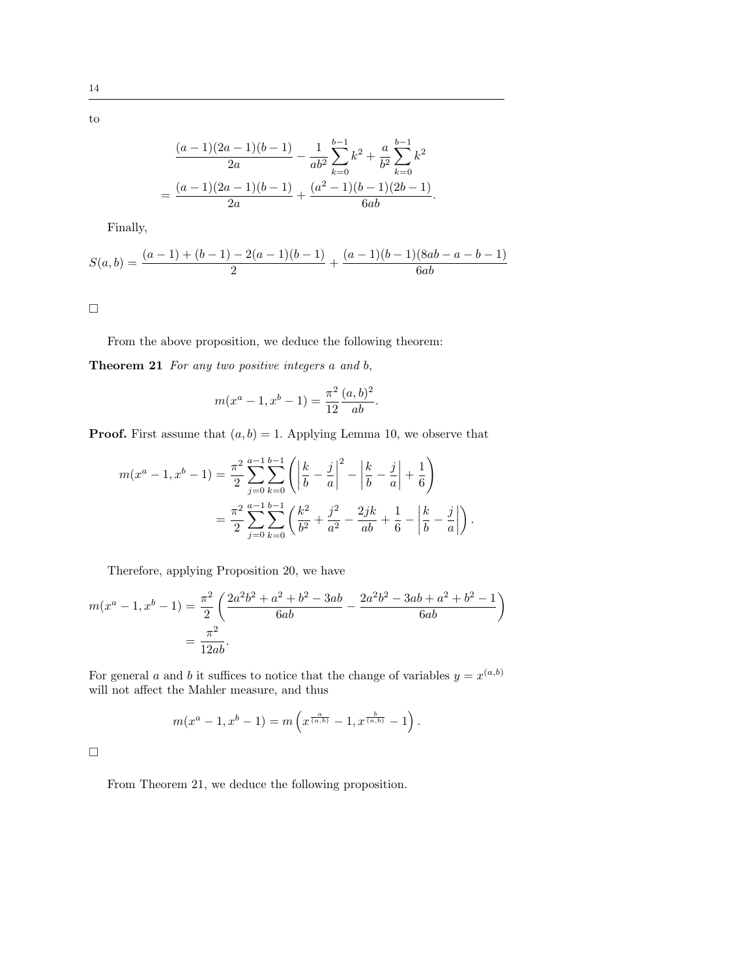to

$$
\frac{(a-1)(2a-1)(b-1)}{2a} - \frac{1}{ab^2} \sum_{k=0}^{b-1} k^2 + \frac{a}{b^2} \sum_{k=0}^{b-1} k^2
$$

$$
= \frac{(a-1)(2a-1)(b-1)}{2a} + \frac{(a^2-1)(b-1)(2b-1)}{6ab}.
$$

Finally,

$$
S(a,b)=\frac{(a-1)+(b-1)-2(a-1)(b-1)}{2}+\frac{(a-1)(b-1)(8ab-a-b-1)}{6ab}
$$

 $\Box$ 

From the above proposition, we deduce the following theorem:

Theorem 21 For any two positive integers a and b,

$$
m(x^{a} - 1, x^{b} - 1) = \frac{\pi^{2}}{12} \frac{(a, b)^{2}}{ab}.
$$

**Proof.** First assume that  $(a, b) = 1$ . Applying Lemma 10, we observe that

$$
m(x^{a} - 1, x^{b} - 1) = \frac{\pi^{2}}{2} \sum_{j=0}^{a-1} \sum_{k=0}^{b-1} \left( \left| \frac{k}{b} - \frac{j}{a} \right|^{2} - \left| \frac{k}{b} - \frac{j}{a} \right| + \frac{1}{6} \right)
$$
  
= 
$$
\frac{\pi^{2}}{2} \sum_{j=0}^{a-1} \sum_{k=0}^{b-1} \left( \frac{k^{2}}{b^{2}} + \frac{j^{2}}{a^{2}} - \frac{2jk}{ab} + \frac{1}{6} - \left| \frac{k}{b} - \frac{j}{a} \right| \right).
$$

Therefore, applying Proposition 20, we have

$$
m(x^{a} - 1, x^{b} - 1) = \frac{\pi^{2}}{2} \left( \frac{2a^{2}b^{2} + a^{2} + b^{2} - 3ab}{6ab} - \frac{2a^{2}b^{2} - 3ab + a^{2} + b^{2} - 1}{6ab} \right)
$$

$$
= \frac{\pi^{2}}{12ab}.
$$

For general a and b it suffices to notice that the change of variables  $y = x^{(a,b)}$ will not affect the Mahler measure, and thus

$$
m(x^{a}-1,x^{b}-1)=m\left(x^{\frac{a}{(a,b)}}-1,x^{\frac{b}{(a,b)}}-1\right).
$$

 $\Box$ 

From Theorem 21, we deduce the following proposition.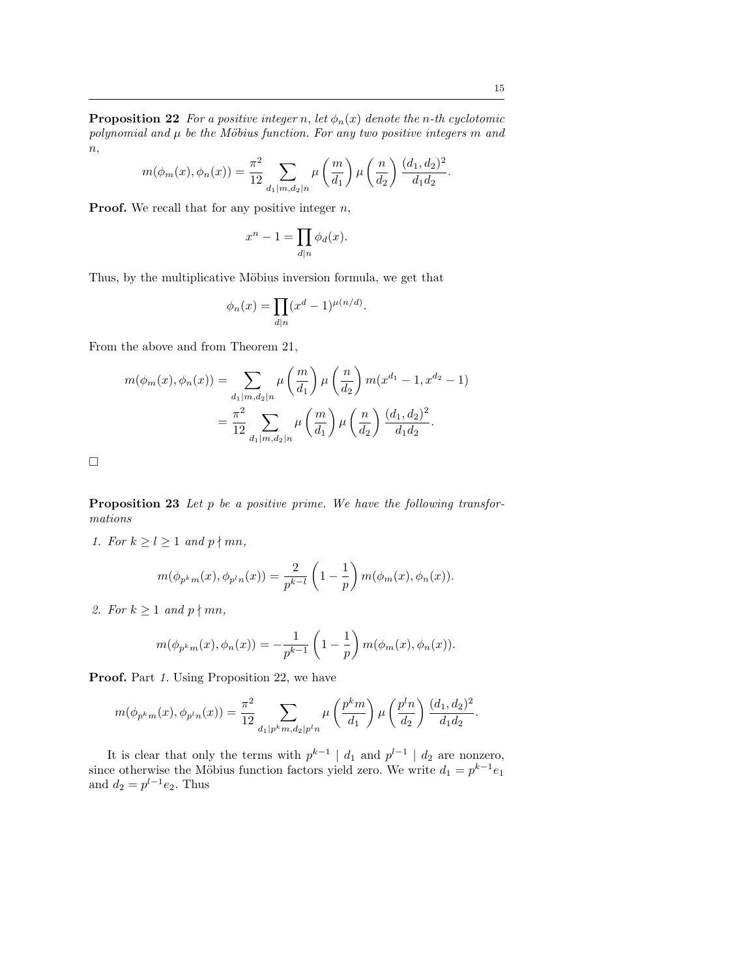**Proposition 22** For a positive integer n, let  $\phi_n(x)$  denote the n-th cyclotomic polynomial and  $\mu$  be the Möbius function. For any two positive integers m and  $n,$ 

$$
m(\phi_m(x), \phi_n(x)) = \frac{\pi^2}{12} \sum_{d_1|m, d_2|n} \mu\left(\frac{m}{d_1}\right) \mu\left(\frac{n}{d_2}\right) \frac{(d_1, d_2)^2}{d_1 d_2}.
$$

**Proof.** We recall that for any positive integer  $n$ ,

$$
x^n - 1 = \prod_{d|n} \phi_d(x).
$$

Thus, by the multiplicative Möbius inversion formula, we get that

$$
\phi_n(x) = \prod_{d|n} (x^d - 1)^{\mu(n/d)}.
$$

From the above and from Theorem 21,

$$
m(\phi_m(x), \phi_n(x)) = \sum_{d_1|m, d_2|n} \mu\left(\frac{m}{d_1}\right) \mu\left(\frac{n}{d_2}\right) m(x^{d_1} - 1, x^{d_2} - 1)
$$

$$
= \frac{\pi^2}{12} \sum_{d_1|m, d_2|n} \mu\left(\frac{m}{d_1}\right) \mu\left(\frac{n}{d_2}\right) \frac{(d_1, d_2)^2}{d_1 d_2}.
$$

 $\Box$ 

**Proposition 23** Let  $p$  be a positive prime. We have the following transformations

1. For  $k \geq l \geq 1$  and  $p \nmid mn$ ,

$$
m(\phi_{p^k m}(x), \phi_{p^l n}(x)) = \frac{2}{p^{k-l}} \left(1 - \frac{1}{p}\right) m(\phi_m(x), \phi_n(x)).
$$

2. For  $k \geq 1$  and  $p \nmid mn$ ,

$$
m(\phi_{p^km}(x), \phi_n(x)) = -\frac{1}{p^{k-1}} \left(1 - \frac{1}{p}\right) m(\phi_m(x), \phi_n(x)).
$$

Proof. Part 1. Using Proposition 22, we have

$$
m(\phi_{p^km}(x),\phi_{p^ln}(x)) = \frac{\pi^2}{12} \sum_{d_1|p^km,d_2|p^ln} \mu\left(\frac{p^km}{d_1}\right) \mu\left(\frac{p^ln}{d_2}\right) \frac{(d_1,d_2)^2}{d_1d_2}.
$$

It is clear that only the terms with  $p^{k-1}$  |  $d_1$  and  $p^{l-1}$  |  $d_2$  are nonzero, since otherwise the Möbius function factors yield zero. We write  $d_1 = p^{k-1}e_1$ and  $d_2 = p^{l-1}e_2$ . Thus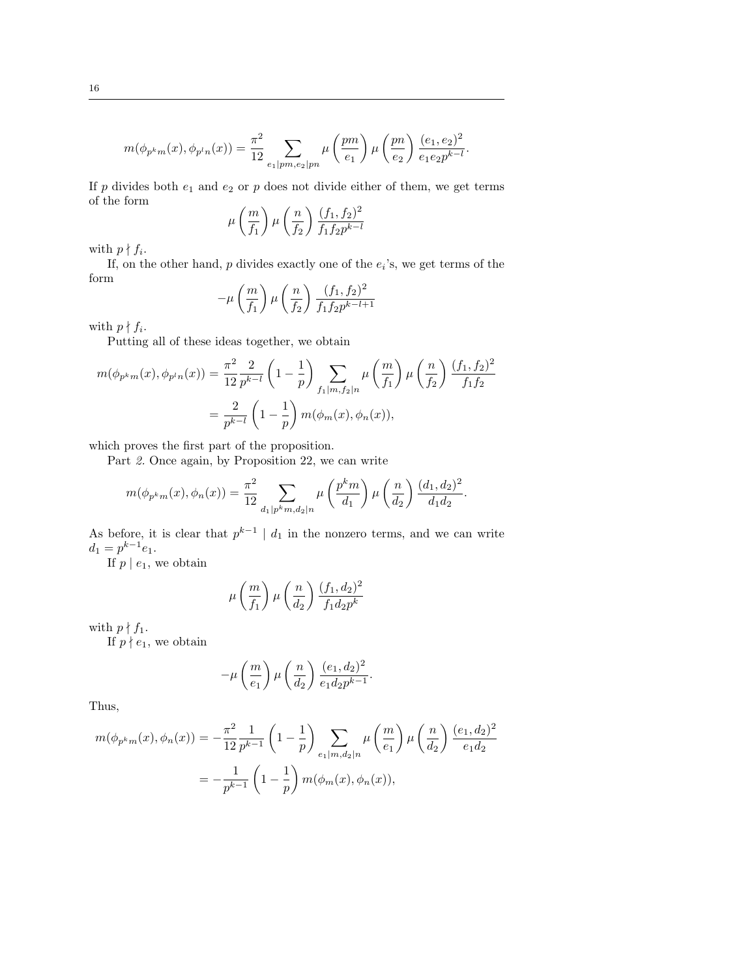$$
m(\phi_{p^k m}(x), \phi_{p^l n}(x)) = \frac{\pi^2}{12} \sum_{e_1 | pm, e_2 | pn} \mu\left(\frac{pm}{e_1}\right) \mu\left(\frac{pn}{e_2}\right) \frac{(e_1, e_2)^2}{e_1 e_2 p^{k-l}}.
$$

If  $p$  divides both  $e_1$  and  $e_2$  or  $p$  does not divide either of them, we get terms of the form  $\overline{2}$ 

$$
\mu\left(\frac{m}{f_1}\right)\mu\left(\frac{n}{f_2}\right)\frac{(f_1,f_2)^2}{f_1f_2p^{k-l}}
$$

with  $p \nmid f_i$ .

If, on the other hand,  $p$  divides exactly one of the  $e_i$ 's, we get terms of the form

$$
-\mu\left(\frac{m}{f_1}\right)\mu\left(\frac{n}{f_2}\right)\frac{(f_1,f_2)^2}{f_1f_2p^{k-l+1}}
$$

with  $p \nmid f_i$ .

Putting all of these ideas together, we obtain

$$
m(\phi_{p^k m}(x), \phi_{p^l n}(x)) = \frac{\pi^2}{12} \frac{2}{p^{k-l}} \left(1 - \frac{1}{p}\right) \sum_{f_1 | m, f_2 | n} \mu\left(\frac{m}{f_1}\right) \mu\left(\frac{n}{f_2}\right) \frac{(f_1, f_2)^2}{f_1 f_2}
$$

$$
= \frac{2}{p^{k-l}} \left(1 - \frac{1}{p}\right) m(\phi_m(x), \phi_n(x)),
$$

which proves the first part of the proposition.

Part 2. Once again, by Proposition 22, we can write

$$
m(\phi_{p^km}(x), \phi_n(x)) = \frac{\pi^2}{12} \sum_{d_1|p^km, d_2|n} \mu\left(\frac{p^km}{d_1}\right) \mu\left(\frac{n}{d_2}\right) \frac{(d_1, d_2)^2}{d_1d_2}.
$$

As before, it is clear that  $p^{k-1} \mid d_1$  in the nonzero terms, and we can write  $d_1 = p^{k-1}e_1.$ 

If  $p \mid e_1$ , we obtain

$$
\mu\left(\frac{m}{f_1}\right)\mu\left(\frac{n}{d_2}\right)\frac{(f_1,d_2)^2}{f_1d_2p^k}
$$

with  $p \nmid f_1$ .

If  $p \nmid e_1$ , we obtain

$$
-\mu\left(\frac{m}{e_1}\right)\mu\left(\frac{n}{d_2}\right)\frac{(e_1,d_2)^2}{e_1d_2p^{k-1}}.
$$

Thus,

$$
m(\phi_{p^k m}(x), \phi_n(x)) = -\frac{\pi^2}{12} \frac{1}{p^{k-1}} \left(1 - \frac{1}{p}\right) \sum_{e_1 | m, d_2 | n} \mu\left(\frac{m}{e_1}\right) \mu\left(\frac{n}{d_2}\right) \frac{(e_1, d_2)^2}{e_1 d_2}
$$

$$
= -\frac{1}{p^{k-1}} \left(1 - \frac{1}{p}\right) m(\phi_m(x), \phi_n(x)),
$$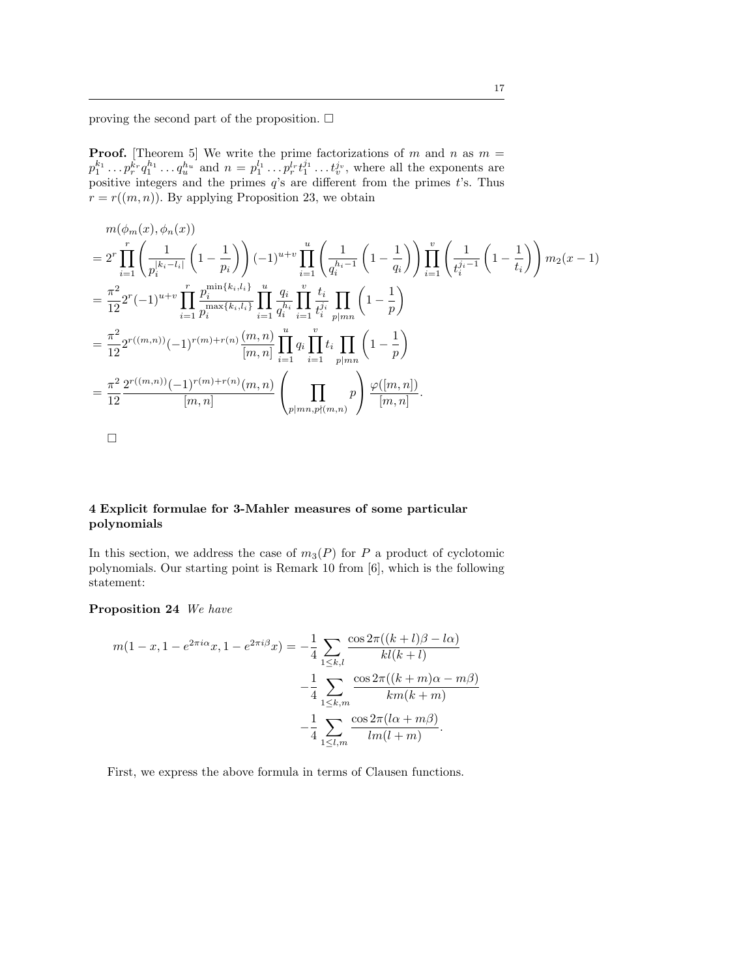proving the second part of the proposition.  $\square$ 

**Proof.** [Theorem 5] We write the prime factorizations of m and n as  $m =$  $p_1^{k_1} \ldots p_r^{k_r} q_1^{h_1} \ldots q_u^{h_u}$  and  $n = p_1^{l_1} \ldots p_r^{l_r} t_1^{j_1} \ldots t_v^{j_v}$ , where all the exponents are positive integers and the primes  $q$ 's are different from the primes  $t$ 's. Thus  $r = r((m, n))$ . By applying Proposition 23, we obtain

$$
m(\phi_m(x), \phi_n(x))
$$
  
=  $2^r \prod_{i=1}^r \left( \frac{1}{p_i^{|k_i - l_i|}} \left( 1 - \frac{1}{p_i} \right) \right) (-1)^{u+v} \prod_{i=1}^u \left( \frac{1}{q_i^{h_i - 1}} \left( 1 - \frac{1}{q_i} \right) \right) \prod_{i=1}^v \left( \frac{1}{t_i^{j_i - 1}} \left( 1 - \frac{1}{t_i} \right) \right) m_2(x - 1)$   
=  $\frac{\pi^2}{12} 2^r (-1)^{u+v} \prod_{i=1}^r \frac{p_i^{\min\{k_i, l_i\}}}{p_i^{\max\{k_i, l_i\}}} \prod_{i=1}^u \frac{q_i}{q_i^{h_i}} \prod_{i=1}^v \frac{t_i}{t_i^{j_i}} \prod_{p \mid mn} \left( 1 - \frac{1}{p} \right)$   
=  $\frac{\pi^2}{12} 2^{r((m,n))} (-1)^{r(m) + r(n)} \frac{(m, n)}{[m, n]} \prod_{i=1}^u q_i \prod_{i=1}^v t_i \prod_{p \mid mn} \left( 1 - \frac{1}{p} \right)$   
=  $\frac{\pi^2}{12} \frac{2^{r((m,n))} (-1)^{r(m) + r(n)} (m, n)}{[m, n]} \left( \prod_{p \mid mn, p \nmid (m, n)} p \right) \frac{\varphi([m, n])}{[m, n]}.$ 

 $\Box$ 

# 4 Explicit formulae for 3-Mahler measures of some particular polynomials

In this section, we address the case of  $m_3(P)$  for P a product of cyclotomic polynomials. Our starting point is Remark 10 from [6], which is the following statement:

## Proposition 24 We have

$$
m(1-x, 1 - e^{2\pi i \alpha}x, 1 - e^{2\pi i \beta}x) = -\frac{1}{4} \sum_{1 \le k,l} \frac{\cos 2\pi((k+l)\beta - l\alpha)}{kl(k+l)}
$$

$$
-\frac{1}{4} \sum_{1 \le k,m} \frac{\cos 2\pi((k+m)\alpha - m\beta)}{km(k+m)}
$$

$$
-\frac{1}{4} \sum_{1 \le l,m} \frac{\cos 2\pi(l\alpha + m\beta)}{lm(l+m)}.
$$

First, we express the above formula in terms of Clausen functions.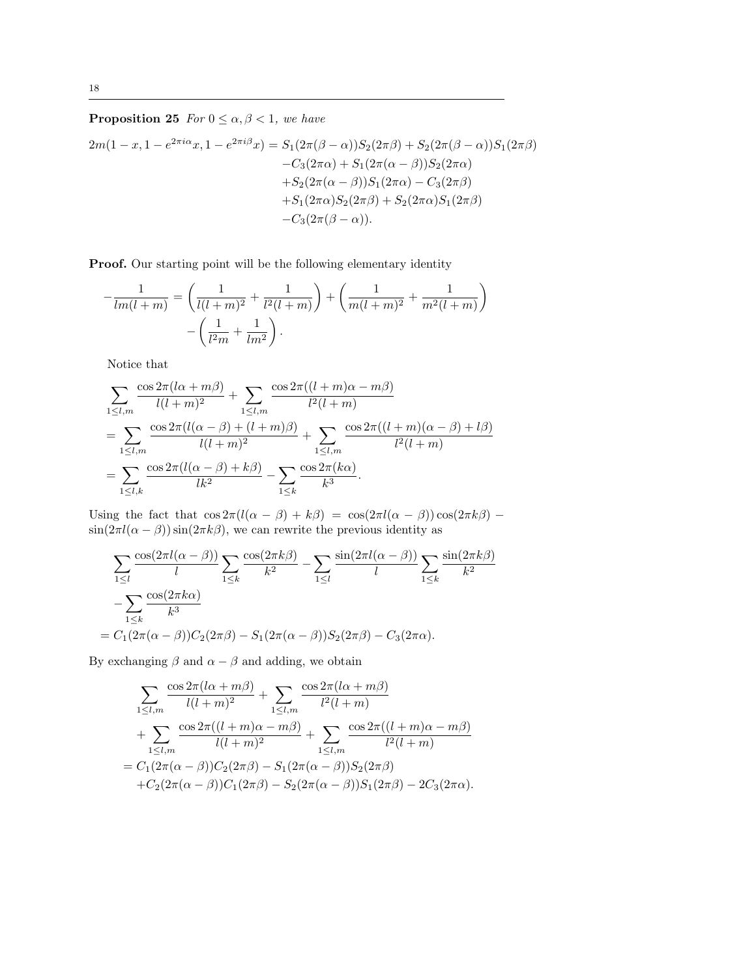# **Proposition 25** For  $0 \le \alpha, \beta < 1$ , we have

$$
2m(1-x, 1 - e^{2\pi i\alpha}x, 1 - e^{2\pi i\beta}x) = S_1(2\pi(\beta - \alpha))S_2(2\pi\beta) + S_2(2\pi(\beta - \alpha))S_1(2\pi\beta)
$$

$$
-C_3(2\pi\alpha) + S_1(2\pi(\alpha - \beta))S_2(2\pi\alpha)
$$

$$
+S_2(2\pi(\alpha - \beta))S_1(2\pi\alpha) - C_3(2\pi\beta)
$$

$$
+S_1(2\pi\alpha)S_2(2\pi\beta) + S_2(2\pi\alpha)S_1(2\pi\beta)
$$

$$
-C_3(2\pi(\beta - \alpha)).
$$

Proof. Our starting point will be the following elementary identity

$$
-\frac{1}{lm(l+m)} = \left(\frac{1}{l(l+m)^2} + \frac{1}{l^2(l+m)}\right) + \left(\frac{1}{m(l+m)^2} + \frac{1}{m^2(l+m)}\right) - \left(\frac{1}{l^2m} + \frac{1}{lm^2}\right).
$$

Notice that

$$
\sum_{1 \leq l,m} \frac{\cos 2\pi (l\alpha + m\beta)}{l(l+m)^2} + \sum_{1 \leq l,m} \frac{\cos 2\pi ((l+m)\alpha - m\beta)}{l^2(l+m)}
$$
  
= 
$$
\sum_{1 \leq l,m} \frac{\cos 2\pi (l(\alpha - \beta) + (l+m)\beta)}{l(l+m)^2} + \sum_{1 \leq l,m} \frac{\cos 2\pi ((l+m)(\alpha - \beta) + l\beta)}{l^2(l+m)}
$$
  
= 
$$
\sum_{1 \leq l,k} \frac{\cos 2\pi (l(\alpha - \beta) + k\beta)}{lk^2} - \sum_{1 \leq k} \frac{\cos 2\pi (k\alpha)}{k^3}.
$$

Using the fact that  $\cos 2\pi (l(\alpha - \beta) + k\beta) = \cos(2\pi l(\alpha - \beta))\cos(2\pi k\beta)$  $\sin(2\pi l(\alpha - \beta))\sin(2\pi k\beta)$ , we can rewrite the previous identity as

$$
\sum_{1\leq l} \frac{\cos(2\pi l(\alpha-\beta))}{l} \sum_{1\leq k} \frac{\cos(2\pi k\beta)}{k^2} - \sum_{1\leq l} \frac{\sin(2\pi l(\alpha-\beta))}{l} \sum_{1\leq k} \frac{\sin(2\pi k\beta)}{k^2}
$$

$$
-\sum_{1\leq k} \frac{\cos(2\pi k\alpha)}{k^3}
$$

$$
= C_1(2\pi(\alpha-\beta))C_2(2\pi\beta) - S_1(2\pi(\alpha-\beta))S_2(2\pi\beta) - C_3(2\pi\alpha).
$$

By exchanging  $\beta$  and  $\alpha - \beta$  and adding, we obtain

$$
\sum_{1 \le l,m} \frac{\cos 2\pi (l\alpha + m\beta)}{l(l+m)^2} + \sum_{1 \le l,m} \frac{\cos 2\pi (l\alpha + m\beta)}{l^2(l+m)} + \sum_{1 \le l,m} \frac{\cos 2\pi ((l+m)\alpha - m\beta)}{l(l+m)^2} + \sum_{1 \le l,m} \frac{\cos 2\pi ((l+m)\alpha - m\beta)}{l^2(l+m)} - C_1(2\pi(\alpha - \beta))C_2(2\pi\beta) - S_1(2\pi(\alpha - \beta))S_2(2\pi\beta) + C_2(2\pi(\alpha - \beta))C_1(2\pi\beta) - S_2(2\pi(\alpha - \beta))S_1(2\pi\beta) - 2C_3(2\pi\alpha).
$$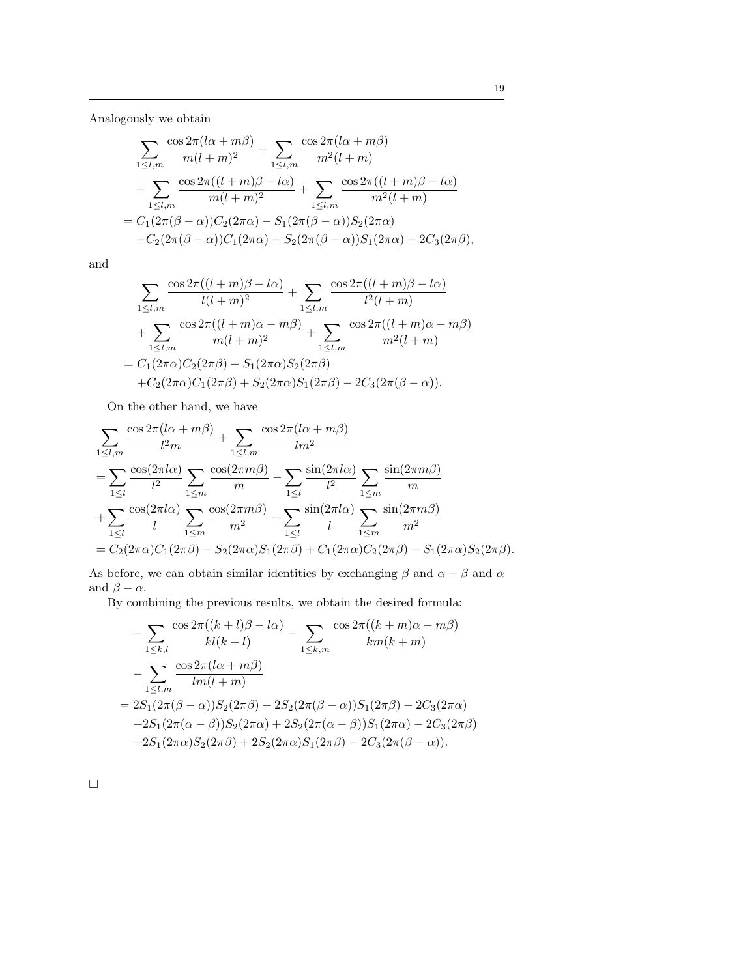Analogously we obtain

$$
\sum_{1 \le l,m} \frac{\cos 2\pi (l\alpha + m\beta)}{m(l+m)^2} + \sum_{1 \le l,m} \frac{\cos 2\pi (l\alpha + m\beta)}{m^2(l+m)}
$$
  
+ 
$$
\sum_{1 \le l,m} \frac{\cos 2\pi ((l+m)\beta - l\alpha)}{m(l+m)^2} + \sum_{1 \le l,m} \frac{\cos 2\pi ((l+m)\beta - l\alpha)}{m^2(l+m)}
$$
  
=  $C_1(2\pi(\beta - \alpha))C_2(2\pi\alpha) - S_1(2\pi(\beta - \alpha))S_2(2\pi\alpha)$   
+  $C_2(2\pi(\beta - \alpha))C_1(2\pi\alpha) - S_2(2\pi(\beta - \alpha))S_1(2\pi\alpha) - 2C_3(2\pi\beta),$ 

and

$$
\sum_{1 \le l,m} \frac{\cos 2\pi((l+m)\beta - l\alpha)}{l(l+m)^2} + \sum_{1 \le l,m} \frac{\cos 2\pi((l+m)\beta - l\alpha)}{l^2(l+m)} + \sum_{1 \le l,m} \frac{\cos 2\pi((l+m)\alpha - m\beta)}{m(l+m)^2} + \sum_{1 \le l,m} \frac{\cos 2\pi((l+m)\alpha - m\beta)}{m^2(l+m)} - C_1(2\pi\alpha)C_2(2\pi\beta) + S_1(2\pi\alpha)S_2(2\pi\beta) - 2C_3(2\pi(\beta - \alpha)).
$$

On the other hand, we have

$$
\sum_{1 \leq l,m} \frac{\cos 2\pi (l\alpha + m\beta)}{l^2 m} + \sum_{1 \leq l,m} \frac{\cos 2\pi (l\alpha + m\beta)}{lm^2}
$$
\n
$$
= \sum_{1 \leq l} \frac{\cos(2\pi l\alpha)}{l^2} \sum_{1 \leq m} \frac{\cos(2\pi m\beta)}{m} - \sum_{1 \leq l} \frac{\sin(2\pi l\alpha)}{l^2} \sum_{1 \leq m} \frac{\sin(2\pi m\beta)}{m}
$$
\n
$$
+ \sum_{1 \leq l} \frac{\cos(2\pi l\alpha)}{l} \sum_{1 \leq m} \frac{\cos(2\pi m\beta)}{m^2} - \sum_{1 \leq l} \frac{\sin(2\pi l\alpha)}{l} \sum_{1 \leq m} \frac{\sin(2\pi m\beta)}{m^2}
$$
\n
$$
= C_2(2\pi\alpha)C_1(2\pi\beta) - S_2(2\pi\alpha)S_1(2\pi\beta) + C_1(2\pi\alpha)C_2(2\pi\beta) - S_1(2\pi\alpha)S_2(2\pi\beta).
$$

As before, we can obtain similar identities by exchanging  $\beta$  and  $\alpha-\beta$  and  $\alpha$ and  $\beta - \alpha$ .

By combining the previous results, we obtain the desired formula:

$$
- \sum_{1 \leq k,l} \frac{\cos 2\pi ((k+l)\beta - l\alpha)}{kl(k+l)} - \sum_{1 \leq k,m} \frac{\cos 2\pi ((k+m)\alpha - m\beta)}{km(k+m)}
$$
  

$$
- \sum_{1 \leq l,m} \frac{\cos 2\pi (l\alpha + m\beta)}{lm(l+m)}
$$
  

$$
= 2S_1(2\pi(\beta - \alpha))S_2(2\pi\beta) + 2S_2(2\pi(\beta - \alpha))S_1(2\pi\beta) - 2C_3(2\pi\alpha)
$$
  

$$
+ 2S_1(2\pi(\alpha - \beta))S_2(2\pi\alpha) + 2S_2(2\pi(\alpha - \beta))S_1(2\pi\alpha) - 2C_3(2\pi\beta)
$$
  

$$
+ 2S_1(2\pi\alpha)S_2(2\pi\beta) + 2S_2(2\pi\alpha)S_1(2\pi\beta) - 2C_3(2\pi(\beta - \alpha)).
$$

 $\Box$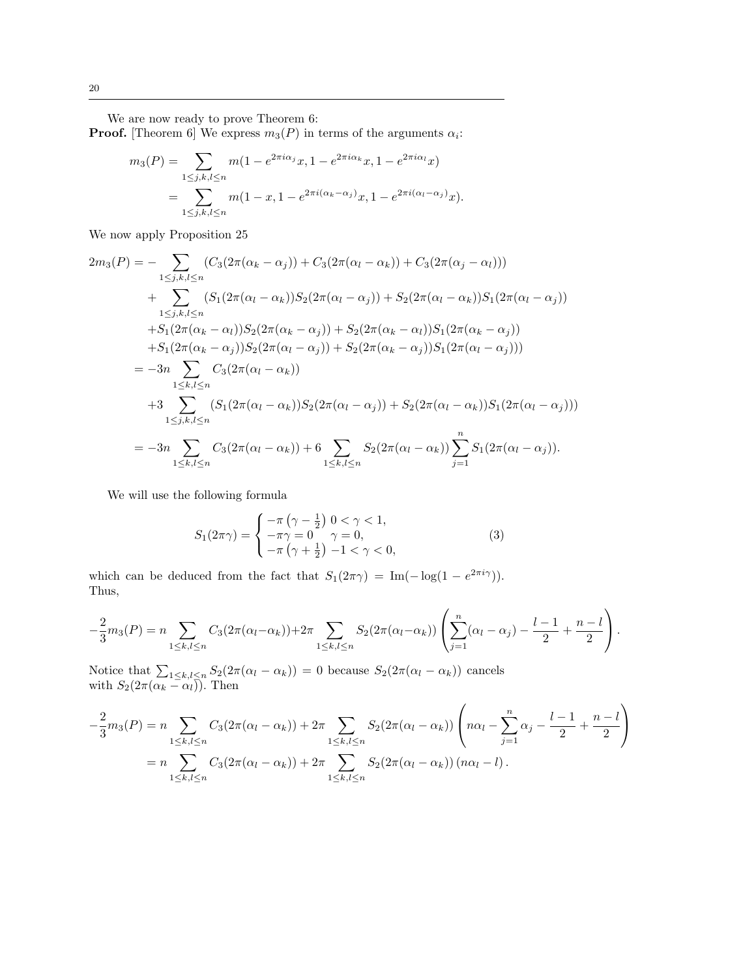We are now ready to prove Theorem 6:

**Proof.** [Theorem 6] We express  $m_3(P)$  in terms of the arguments  $\alpha_i$ :

$$
m_3(P) = \sum_{1 \le j,k,l \le n} m(1 - e^{2\pi i \alpha_j} x, 1 - e^{2\pi i \alpha_k} x, 1 - e^{2\pi i \alpha_l} x)
$$
  
= 
$$
\sum_{1 \le j,k,l \le n} m(1 - x, 1 - e^{2\pi i (\alpha_k - \alpha_j)} x, 1 - e^{2\pi i (\alpha_l - \alpha_j)} x).
$$

We now apply Proposition 25

$$
2m_3(P) = -\sum_{1 \le j,k,l \le n} (C_3(2\pi(\alpha_k - \alpha_j)) + C_3(2\pi(\alpha_l - \alpha_k)) + C_3(2\pi(\alpha_j - \alpha_l)))
$$
  
+ 
$$
\sum_{1 \le j,k,l \le n} (S_1(2\pi(\alpha_l - \alpha_k))S_2(2\pi(\alpha_l - \alpha_j)) + S_2(2\pi(\alpha_l - \alpha_k))S_1(2\pi(\alpha_l - \alpha_j))
$$
  
+ 
$$
S_1(2\pi(\alpha_k - \alpha_l))S_2(2\pi(\alpha_k - \alpha_j)) + S_2(2\pi(\alpha_k - \alpha_l))S_1(2\pi(\alpha_k - \alpha_j))
$$
  
+ 
$$
S_1(2\pi(\alpha_k - \alpha_j))S_2(2\pi(\alpha_l - \alpha_j)) + S_2(2\pi(\alpha_k - \alpha_j))S_1(2\pi(\alpha_l - \alpha_j)))
$$
  
= 
$$
-3n \sum_{1 \le k,l \le n} C_3(2\pi(\alpha_l - \alpha_k))
$$
  
+ 
$$
3 \sum_{1 \le j,k,l \le n} (S_1(2\pi(\alpha_l - \alpha_k))S_2(2\pi(\alpha_l - \alpha_j)) + S_2(2\pi(\alpha_l - \alpha_k))S_1(2\pi(\alpha_l - \alpha_j)))
$$
  
= 
$$
-3n \sum_{1 \le k,l \le n} C_3(2\pi(\alpha_l - \alpha_k)) + 6 \sum_{1 \le k,l \le n} S_2(2\pi(\alpha_l - \alpha_k)) \sum_{j=1}^n S_1(2\pi(\alpha_l - \alpha_j)).
$$

We will use the following formula

$$
S_1(2\pi\gamma) = \begin{cases} -\pi (\gamma - \frac{1}{2}) & 0 < \gamma < 1, \\ -\pi\gamma = 0 & \gamma = 0, \\ -\pi (\gamma + \frac{1}{2}) & -1 < \gamma < 0, \end{cases}
$$
 (3)

which can be deduced from the fact that  $S_1(2\pi\gamma) = \text{Im}(-\log(1 - e^{2\pi i \gamma}))$ . Thus,

$$
-\frac{2}{3}m_3(P) = n \sum_{1 \leq k,l \leq n} C_3(2\pi(\alpha_l - \alpha_k)) + 2\pi \sum_{1 \leq k,l \leq n} S_2(2\pi(\alpha_l - \alpha_k)) \left( \sum_{j=1}^n (\alpha_l - \alpha_j) - \frac{l-1}{2} + \frac{n-l}{2} \right).
$$

Notice that  $\sum_{1 \leq k,l \leq n} S_2(2\pi(\alpha_l - \alpha_k)) = 0$  because  $S_2(2\pi(\alpha_l - \alpha_k))$  cancels with  $S_2(2\pi(\alpha_k - \alpha_l))$ . Then

$$
-\frac{2}{3}m_3(P) = n \sum_{1 \le k,l \le n} C_3(2\pi(\alpha_l - \alpha_k)) + 2\pi \sum_{1 \le k,l \le n} S_2(2\pi(\alpha_l - \alpha_k)) \left( n\alpha_l - \sum_{j=1}^n \alpha_j - \frac{l-1}{2} + \frac{n-l}{2} \right)
$$
  
= 
$$
n \sum_{1 \le k,l \le n} C_3(2\pi(\alpha_l - \alpha_k)) + 2\pi \sum_{1 \le k,l \le n} S_2(2\pi(\alpha_l - \alpha_k)) (n\alpha_l - l).
$$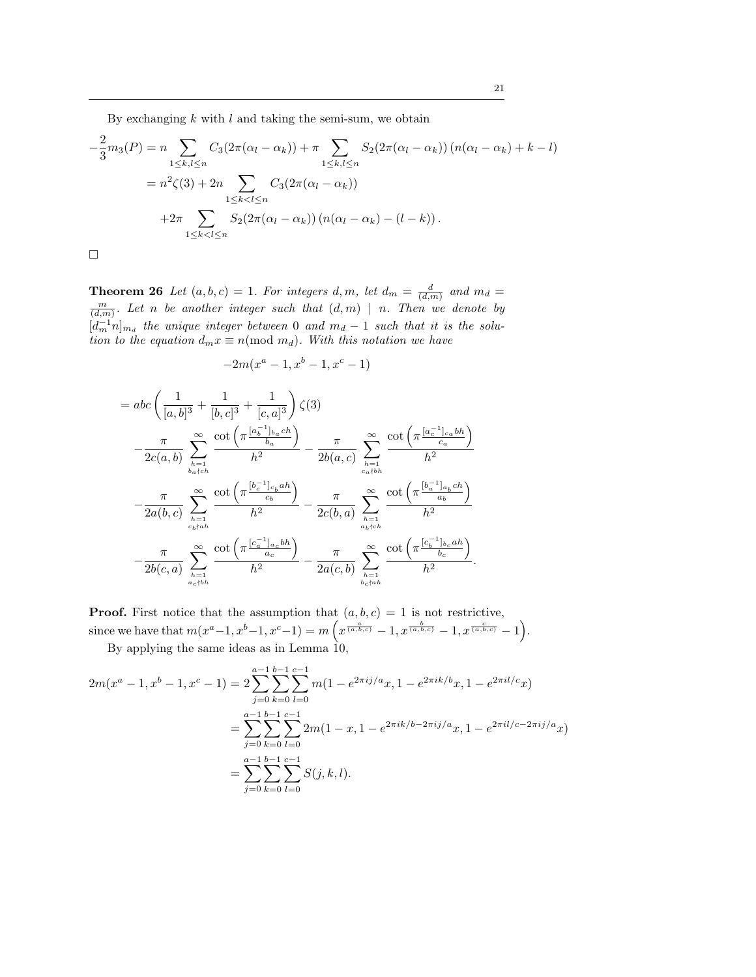By exchanging  $k$  with  $l$  and taking the semi-sum, we obtain

$$
-\frac{2}{3}m_3(P) = n \sum_{1 \le k,l \le n} C_3(2\pi(\alpha_l - \alpha_k)) + \pi \sum_{1 \le k,l \le n} S_2(2\pi(\alpha_l - \alpha_k)) (n(\alpha_l - \alpha_k) + k - l)
$$
  
=  $n^2 \zeta(3) + 2n \sum_{1 \le k < l \le n} C_3(2\pi(\alpha_l - \alpha_k))$   
+  $2\pi \sum_{1 \le k < l \le n} S_2(2\pi(\alpha_l - \alpha_k)) (n(\alpha_l - \alpha_k) - (l - k)).$ 

 $\Box$ 

**Theorem 26** Let  $(a, b, c) = 1$ . For integers d, m, let  $d_m = \frac{d}{(d,m)}$  and  $m_d =$  $\frac{m}{(d,m)}$ . Let n be another integer such that  $(d,m)$  | n. Then we denote by  $[d_m^{-1}n]_{m_d}$  the unique integer between 0 and  $m_d - 1$  such that it is the solution to the equation  $d_m x \equiv n \pmod{m_d}$ . With this notation we have

$$
-2m(x^a - 1, x^b - 1, x^c - 1)
$$

$$
= abc \left(\frac{1}{[a,b]^3} + \frac{1}{[b,c]^3} + \frac{1}{[c,a]^3}\right) \zeta(3)
$$
  

$$
- \frac{\pi}{2c(a,b)} \sum_{h=1 \atop b_a \nmid ch} \frac{\cot \left(\pi \frac{[a_b^{-1}]_{b_a} ch}{b_a}\right)}{h^2} - \frac{\pi}{2b(a,c)} \sum_{\substack{h=1 \ c_a \nmid bh}} \frac{\cot \left(\pi \frac{[a_c^{-1}]_{c_a} bh}{c_a}\right)}{h^2}
$$
  

$$
- \frac{\pi}{2a(b,c)} \sum_{\substack{h=1 \ c_b \nmid ah}} \frac{\cot \left(\pi \frac{[b_c^{-1}]_{c_b} ah}{c_b}\right)}{h^2} - \frac{\pi}{2c(b,a)} \sum_{\substack{h=1 \ a_b \nmid ch}} \frac{\cot \left(\pi \frac{[b_a^{-1}]_{a_b} ch}{a_b}\right)}{h^2}
$$
  

$$
- \frac{\pi}{2b(c,a)} \sum_{\substack{h=1 \ a_c \nmid ah}} \frac{\cot \left(\pi \frac{[c_a^{-1}]_{a_c} bh}{a_c}\right)}{h^2} - \frac{\pi}{2a(c,b)} \sum_{\substack{h=1 \ b_c \nmid ah}} \frac{\cot \left(\pi \frac{[c_b^{-1}]_{b_c} ah}{b_c}\right)}{h^2}.
$$

**Proof.** First notice that the assumption that  $(a, b, c) = 1$  is not restrictive, since we have that  $m(x^a-1, x^b-1, x^c-1) = m\left(x^{\frac{a}{(a,b,c)}}-1, x^{\frac{b}{(a,b,c)}}-1, x^{\frac{c}{(a,b,c)}}-1\right)$ .

By applying the same ideas as in Lemma  $\dot{10}$ ,

$$
2m(x^{a} - 1, x^{b} - 1, x^{c} - 1) = 2\sum_{j=0}^{a-1} \sum_{k=0}^{b-1} \sum_{l=0}^{c-1} m(1 - e^{2\pi i j/a}x, 1 - e^{2\pi i k/b}x, 1 - e^{2\pi i l/c}x)
$$
  
= 
$$
\sum_{j=0}^{a-1} \sum_{k=0}^{b-1} \sum_{l=0}^{c-1} 2m(1 - x, 1 - e^{2\pi i k/b - 2\pi i j/a}x, 1 - e^{2\pi i l/c - 2\pi i j/a}x)
$$
  
= 
$$
\sum_{j=0}^{a-1} \sum_{k=0}^{b-1} \sum_{l=0}^{c-1} S(j, k, l).
$$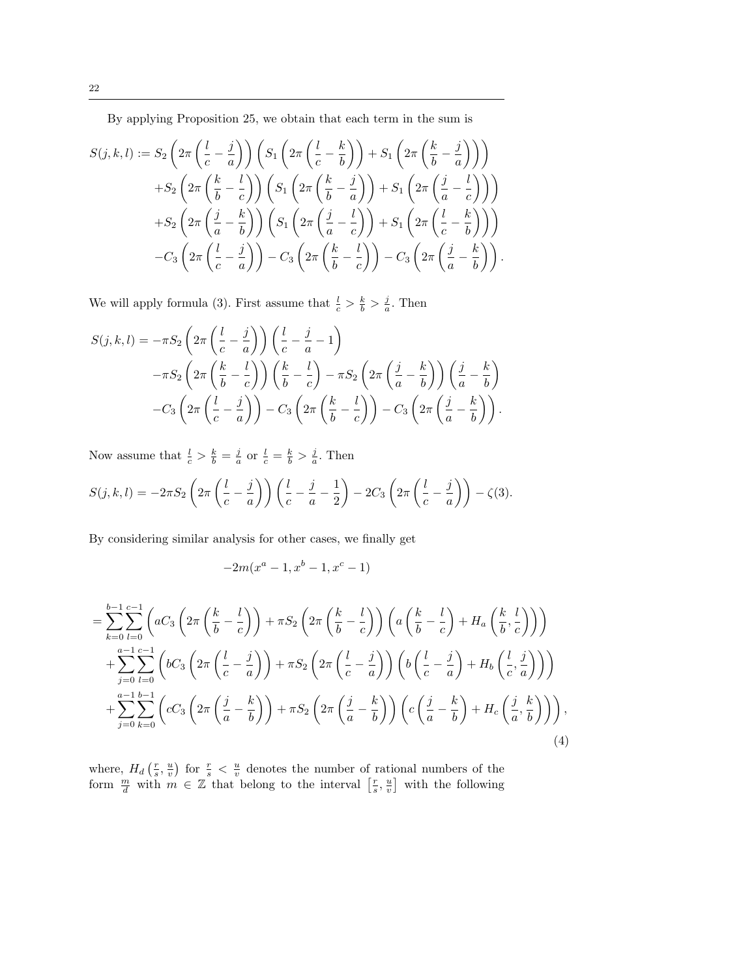By applying Proposition 25, we obtain that each term in the sum is

$$
S(j,k,l) := S_2 \left(2\pi \left(\frac{l}{c} - \frac{j}{a}\right)\right) \left(S_1 \left(2\pi \left(\frac{l}{c} - \frac{k}{b}\right)\right) + S_1 \left(2\pi \left(\frac{k}{b} - \frac{j}{a}\right)\right)\right)
$$
  
+
$$
S_2 \left(2\pi \left(\frac{k}{b} - \frac{l}{c}\right)\right) \left(S_1 \left(2\pi \left(\frac{k}{b} - \frac{j}{a}\right)\right) + S_1 \left(2\pi \left(\frac{j}{a} - \frac{l}{c}\right)\right)\right)
$$
  
+
$$
S_2 \left(2\pi \left(\frac{j}{a} - \frac{k}{b}\right)\right) \left(S_1 \left(2\pi \left(\frac{j}{a} - \frac{l}{c}\right)\right) + S_1 \left(2\pi \left(\frac{l}{c} - \frac{k}{b}\right)\right)\right)
$$
  
-
$$
-C_3 \left(2\pi \left(\frac{l}{c} - \frac{j}{a}\right)\right) - C_3 \left(2\pi \left(\frac{k}{b} - \frac{l}{c}\right)\right) - C_3 \left(2\pi \left(\frac{j}{a} - \frac{k}{b}\right)\right).
$$

We will apply formula (3). First assume that  $\frac{l}{c} > \frac{k}{b} > \frac{j}{a}$ . Then

$$
S(j,k,l) = -\pi S_2 \left(2\pi \left(\frac{l}{c} - \frac{j}{a}\right)\right) \left(\frac{l}{c} - \frac{j}{a} - 1\right)
$$
  

$$
-\pi S_2 \left(2\pi \left(\frac{k}{b} - \frac{l}{c}\right)\right) \left(\frac{k}{b} - \frac{l}{c}\right) - \pi S_2 \left(2\pi \left(\frac{j}{a} - \frac{k}{b}\right)\right) \left(\frac{j}{a} - \frac{k}{b}\right)
$$
  

$$
-C_3 \left(2\pi \left(\frac{l}{c} - \frac{j}{a}\right)\right) - C_3 \left(2\pi \left(\frac{k}{b} - \frac{l}{c}\right)\right) - C_3 \left(2\pi \left(\frac{j}{a} - \frac{k}{b}\right)\right).
$$

Now assume that  $\frac{l}{c} > \frac{k}{b} = \frac{j}{a}$  or  $\frac{l}{c} = \frac{k}{b} > \frac{j}{a}$ . Then

$$
S(j,k,l) = -2\pi S_2 \left(2\pi \left(\frac{l}{c} - \frac{j}{a}\right)\right) \left(\frac{l}{c} - \frac{j}{a} - \frac{1}{2}\right) - 2C_3 \left(2\pi \left(\frac{l}{c} - \frac{j}{a}\right)\right) - \zeta(3).
$$

By considering similar analysis for other cases, we finally get

$$
-2m(x^a - 1, x^b - 1, x^c - 1)
$$

$$
= \sum_{k=0}^{b-1} \sum_{l=0}^{c-1} \left( aC_3 \left( 2\pi \left( \frac{k}{b} - \frac{l}{c} \right) \right) + \pi S_2 \left( 2\pi \left( \frac{k}{b} - \frac{l}{c} \right) \right) \left( a \left( \frac{k}{b} - \frac{l}{c} \right) + H_a \left( \frac{k}{b}, \frac{l}{c} \right) \right) \right) + \sum_{j=0}^{a-1} \sum_{l=0}^{c-1} \left( bC_3 \left( 2\pi \left( \frac{l}{c} - \frac{j}{a} \right) \right) + \pi S_2 \left( 2\pi \left( \frac{l}{c} - \frac{j}{a} \right) \right) \left( b \left( \frac{l}{c} - \frac{j}{a} \right) + H_b \left( \frac{l}{c}, \frac{j}{a} \right) \right) \right) + \sum_{j=0}^{a-1} \sum_{k=0}^{b-1} \left( cC_3 \left( 2\pi \left( \frac{j}{a} - \frac{k}{b} \right) \right) + \pi S_2 \left( 2\pi \left( \frac{j}{a} - \frac{k}{b} \right) \right) \left( c \left( \frac{j}{a} - \frac{k}{b} \right) + H_c \left( \frac{j}{a}, \frac{k}{b} \right) \right) \right),
$$
\n(4)

where,  $H_d\left(\frac{r}{s},\frac{u}{v}\right)$  for  $\frac{r}{s} < \frac{u}{v}$  denotes the number of rational numbers of the form  $\frac{m}{d}$  with  $m \in \mathbb{Z}$  that belong to the interval  $\left[\frac{r}{s}, \frac{u}{v}\right]$  with the following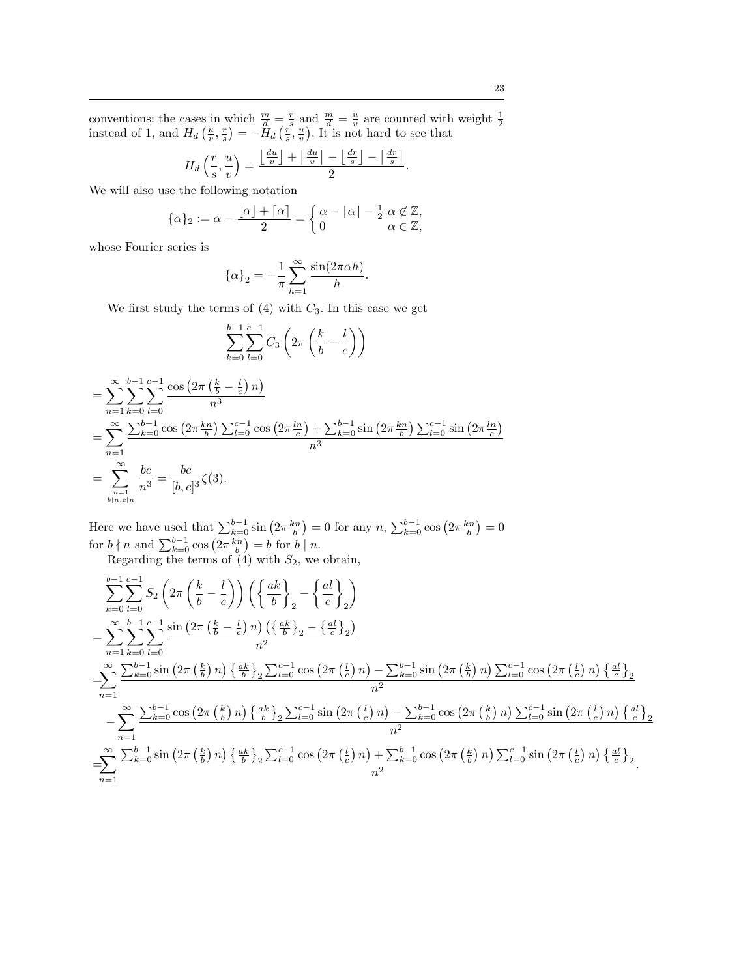conventions: the cases in which  $\frac{m}{d} = \frac{r}{s}$  and  $\frac{m}{d} = \frac{u}{v}$  are counted with weight  $\frac{1}{2}$  instead of 1, and  $H_d\left(\frac{u}{v}, \frac{r}{s}\right) = -H_d\left(\frac{r}{s}, \frac{u}{v}\right)$ . It is not hard to see that

$$
H_d\left(\frac{r}{s},\frac{u}{v}\right) = \frac{\left\lfloor \frac{du}{v} \right\rfloor + \left\lceil \frac{du}{v} \right\rceil - \left\lfloor \frac{dr}{s} \right\rfloor - \left\lceil \frac{dr}{s} \right\rceil}{2}.
$$

We will also use the following notation

$$
\{\alpha\}_2 := \alpha - \frac{\lfloor \alpha \rfloor + \lceil \alpha \rceil}{2} = \begin{cases} \alpha - \lfloor \alpha \rfloor - \frac{1}{2} \ \alpha \notin \mathbb{Z}, \\ 0 \qquad \alpha \in \mathbb{Z}, \end{cases}
$$

whose Fourier series is

$$
\{\alpha\}_2 = -\frac{1}{\pi} \sum_{h=1}^{\infty} \frac{\sin(2\pi\alpha h)}{h}.
$$

We first study the terms of  $(4)$  with  $C_3$ . In this case we get

$$
\sum_{k=0}^{b-1} \sum_{l=0}^{c-1} C_3 \left( 2\pi \left( \frac{k}{b} - \frac{l}{c} \right) \right)
$$

$$
= \sum_{n=1}^{\infty} \sum_{k=0}^{b-1} \sum_{l=0}^{c-1} \frac{\cos\left(2\pi \left(\frac{k}{b} - \frac{l}{c}\right)n\right)}{n^3}
$$
  
= 
$$
\sum_{n=1}^{\infty} \frac{\sum_{k=0}^{b-1} \cos\left(2\pi \frac{kn}{b}\right) \sum_{l=0}^{c-1} \cos\left(2\pi \frac{ln}{c}\right) + \sum_{k=0}^{b-1} \sin\left(2\pi \frac{kn}{b}\right) \sum_{l=0}^{c-1} \sin\left(2\pi \frac{ln}{c}\right)}{n^3}
$$
  
= 
$$
\sum_{n=1 \atop b|n, c|n}^{\infty} \frac{bc}{n^3} = \frac{bc}{[b, c]^3} \zeta(3).
$$

Here we have used that  $\sum_{k=0}^{b-1} \sin(2\pi \frac{k n}{b}) = 0$  for any  $n, \sum_{k=0}^{b-1} \cos(2\pi \frac{k n}{b}) = 0$ for  $b \nmid n$  and  $\sum_{k=0}^{b-1} \cos\left(2\pi \frac{k n}{b}\right) = b$  for  $b \mid n$ . Regarding the terms of  $(4)$  with  $S_2$ , we obtain,

$$
\sum_{k=0}^{b-1} \sum_{l=0}^{c-1} S_2 \left(2\pi \left(\frac{k}{b} - \frac{l}{c}\right)\right) \left(\left\{\frac{ak}{b}\right\}_2 - \left\{\frac{al}{c}\right\}_2\right)
$$
\n
$$
= \sum_{n=1}^{\infty} \sum_{k=0}^{b-1} \sum_{l=0}^{c-1} \frac{\sin\left(2\pi \left(\frac{k}{b} - \frac{l}{c}\right)n\right) \left(\left\{\frac{ak}{b}\right\}_2 - \left\{\frac{al}{c}\right\}_2\right)}{n^2}
$$
\n
$$
= \sum_{n=1}^{\infty} \frac{\sum_{k=0}^{b-1} \sin\left(2\pi \left(\frac{k}{b}\right)n\right) \left\{\frac{ak}{b}\right\}_2 \sum_{l=0}^{c-1} \cos\left(2\pi \left(\frac{l}{c}\right)n\right) - \sum_{k=0}^{b-1} \sin\left(2\pi \left(\frac{k}{b}\right)n\right) \sum_{l=0}^{c-1} \cos\left(2\pi \left(\frac{l}{c}\right)n\right) \left\{\frac{al}{c}\right\}_2}{n^2}
$$
\n
$$
- \sum_{n=1}^{\infty} \frac{\sum_{k=0}^{b-1} \cos\left(2\pi \left(\frac{k}{b}\right)n\right) \left\{\frac{ak}{b}\right\}_2 \sum_{l=0}^{c-1} \sin\left(2\pi \left(\frac{l}{c}\right)n\right) - \sum_{k=0}^{b-1} \cos\left(2\pi \left(\frac{k}{b}\right)n\right) \sum_{l=0}^{c-1} \sin\left(2\pi \left(\frac{l}{c}\right)n\right) \left\{\frac{al}{c}\right\}_2}{n^2}
$$
\n
$$
= \sum_{n=1}^{\infty} \frac{\sum_{k=0}^{b-1} \sin\left(2\pi \left(\frac{k}{b}\right)n\right) \left\{\frac{ak}{b}\right\}_2 \sum_{l=0}^{c-1} \cos\left(2\pi \left(\frac{l}{c}\right)n\right) + \sum_{k=0}^{b-1} \cos\left(2\pi \left(\frac{k}{b}\right)n\right) \sum_{l=0}^{c-1} \sin\left(2\pi \left(\frac{l}{c}\right)n\right) \left\{\frac{al}{
$$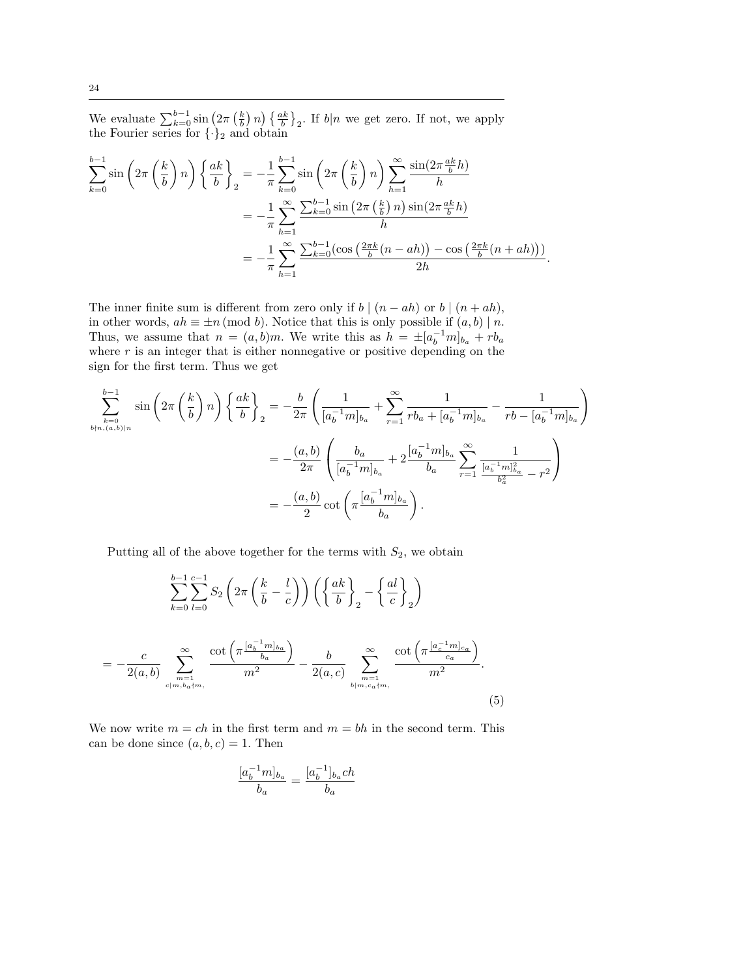We evaluate  $\sum_{k=0}^{b-1} \sin\left(2\pi\left(\frac{k}{b}\right)n\right) \left\{\frac{ak}{b}\right\}_2$ . If  $b|n$  we get zero. If not, we apply the Fourier series for  $\{\cdot\}_2$  and obtain

$$
\sum_{k=0}^{b-1} \sin\left(2\pi \left(\frac{k}{b}\right)n\right) \left\{\frac{ak}{b}\right\}_2 = -\frac{1}{\pi} \sum_{k=0}^{b-1} \sin\left(2\pi \left(\frac{k}{b}\right)n\right) \sum_{h=1}^{\infty} \frac{\sin(2\pi \frac{ak}{b}h)}{h}
$$
  
=  $-\frac{1}{\pi} \sum_{h=1}^{\infty} \frac{\sum_{k=0}^{b-1} \sin\left(2\pi \left(\frac{k}{b}\right)n\right) \sin(2\pi \frac{ak}{b}h)}{h}$   
=  $-\frac{1}{\pi} \sum_{h=1}^{\infty} \frac{\sum_{k=0}^{b-1} (\cos\left(\frac{2\pi k}{b}(n - ah)\right) - \cos\left(\frac{2\pi k}{b}(n + ah)\right))}{2h}.$ 

The inner finite sum is different from zero only if  $b \mid (n - ah)$  or  $b \mid (n + ah)$ , in other words,  $ah \equiv \pm n \pmod{b}$ . Notice that this is only possible if  $(a, b) \mid n$ . Thus, we assume that  $n = (a, b)m$ . We write this as  $h = \pm [a_b^{-1}m]_{b_a} + rb_a$ where  $r$  is an integer that is either nonnegative or positive depending on the sign for the first term. Thus we get

$$
\sum_{\substack{k=0 \ k \nmid n,(a,b)|n}}^{b-1} \sin\left(2\pi \left(\frac{k}{b}\right)n\right) \left\{\frac{ak}{b}\right\}_2 = -\frac{b}{2\pi} \left(\frac{1}{[a_b^{-1}m]_{b_a}} + \sum_{r=1}^{\infty} \frac{1}{rb_a + [a_b^{-1}m]_{b_a}} - \frac{1}{rb - [a_b^{-1}m]_{b_a}}\right)
$$

$$
= -\frac{(a,b)}{2\pi} \left(\frac{b_a}{[a_b^{-1}m]_{b_a}} + 2\frac{[a_b^{-1}m]_{b_a}}{b_a} \sum_{r=1}^{\infty} \frac{1}{\frac{[a_b^{-1}m]_{b_a}^2}{b_a^2} - r^2}\right)
$$

$$
= -\frac{(a,b)}{2} \cot\left(\pi \frac{[a_b^{-1}m]_{b_a}}{b_a}\right).
$$

Putting all of the above together for the terms with  $S_2$ , we obtain

$$
\sum_{k=0}^{b-1} \sum_{l=0}^{c-1} S_2 \left( 2\pi \left( \frac{k}{b} - \frac{l}{c} \right) \right) \left( \left\{ \frac{ak}{b} \right\}_2 - \left\{ \frac{al}{c} \right\}_2 \right)
$$
  
= 
$$
-\frac{c}{2(a,b)} \sum_{\substack{m=1 \ \text{odd } m, b_a \nmid m, \\ c|m, b_a \nmid m,}} \frac{\cot \left( \pi \frac{[a_b^{-1}m]_{b_a}}{b_a} \right)}{m^2} - \frac{b}{2(a,c)} \sum_{\substack{m=1 \ \text{b} \mid m, c_a \nmid m, \\ b|m, c_a \nmid m,}} \frac{\cot \left( \pi \frac{[a_c^{-1}m]_{c_a}}{c_a} \right)}{m^2}.
$$
(5)

We now write  $m = ch$  in the first term and  $m = bh$  in the second term. This can be done since  $(a, b, c) = 1$ . Then

$$
\frac{[a_b^{-1}m]_{b_a}}{b_a} = \frac{[a_b^{-1}]_{b_a}ch}{b_a}
$$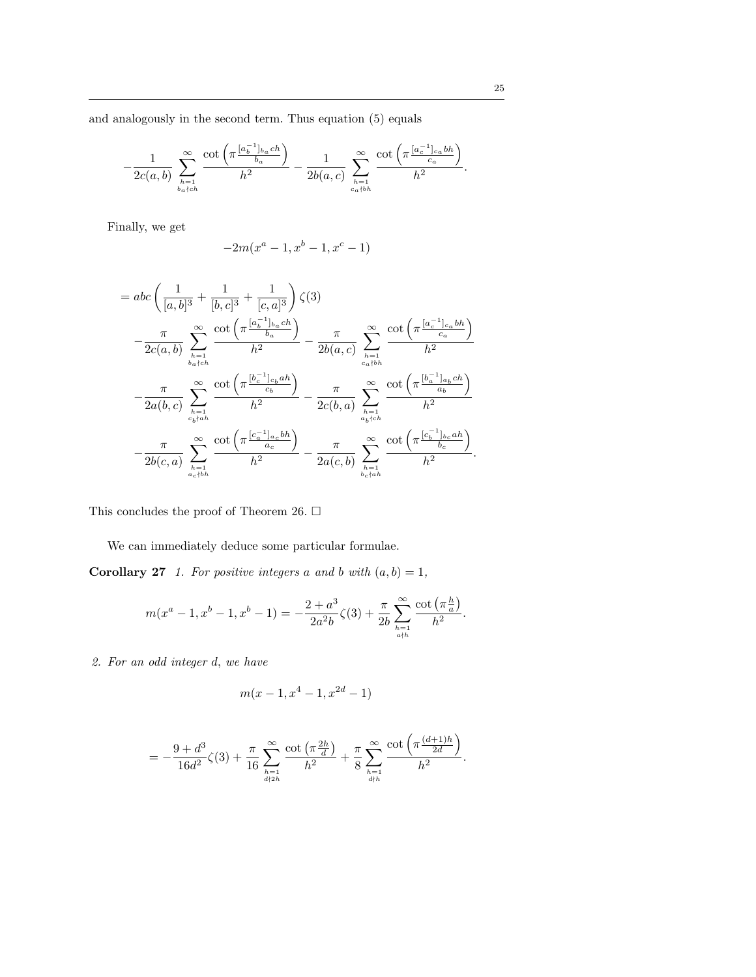and analogously in the second term. Thus equation (5) equals

$$
-\frac{1}{2c(a,b)}\sum_{h=1\atop b_a\uparrow ch}^{\infty}\frac{\cot\left(\pi\frac{[a_b^{-1}]_{b_a}ch}{b_a}\right)}{h^2}-\frac{1}{2b(a,c)}\sum_{h=1\atop c_a\uparrow bh}^{\infty}\frac{\cot\left(\pi\frac{[a_c^{-1}]_{c_a}bh}{c_a}\right)}{h^2}.
$$

Finally, we get

$$
-2m(x^a - 1, x^b - 1, x^c - 1)
$$

$$
= abc \left(\frac{1}{[a,b]^3} + \frac{1}{[b,c]^3} + \frac{1}{[c,a]^3}\right) \zeta(3)
$$
  

$$
- \frac{\pi}{2c(a,b)} \sum_{h=1 \atop b_a \neq ch} \frac{\cot \left(\pi \frac{[a_b^{-1}]_{b_a}ch}{b_a}\right)}{h^2} - \frac{\pi}{2b(a,c)} \sum_{h=1 \atop c_a \neq bh} \frac{\cot \left(\pi \frac{[a_c^{-1}]_{c_a}bh}{c_a}\right)}{h^2}
$$
  

$$
- \frac{\pi}{2a(b,c)} \sum_{h=1 \atop c_b \neq ah} \frac{\cot \left(\pi \frac{[b_c^{-1}]_{c_b}ah}{c_b}\right)}{h^2} - \frac{\pi}{2c(b,a)} \sum_{h=1 \atop a_b \neq ch} \frac{\cot \left(\pi \frac{[b_a^{-1}]_{a_b}ch}{a_b}\right)}{h^2}
$$
  

$$
- \frac{\pi}{2b(c,a)} \sum_{h=1 \atop a_c \neq bh} \frac{\cot \left(\pi \frac{[c_a^{-1}]_{a_c}bh}{a_c}\right)}{h^2} - \frac{\pi}{2a(c,b)} \sum_{h=1 \atop b_c \neq ah} \frac{\cot \left(\pi \frac{[c_b^{-1}]_{b_c}ah}{b_c}\right)}{h^2}.
$$

This concludes the proof of Theorem 26.  $\Box$ 

We can immediately deduce some particular formulae.

**Corollary 27** 1. For positive integers a and b with  $(a, b) = 1$ ,

$$
m(x^{a}-1,x^{b}-1,x^{b}-1)=-\frac{2+a^{3}}{2a^{2}b}\zeta(3)+\frac{\pi}{2b}\sum_{h=1\atop a\not=h}^{\infty}\frac{\cot\left(\pi\frac{h}{a}\right)}{h^{2}}.
$$

2. For an odd integer d, we have

$$
m(x-1, x^4 - 1, x^{2d} - 1)
$$

$$
= -\frac{9+d^3}{16d^2}\zeta(3) + \frac{\pi}{16}\sum_{\substack{h=1 \ d \nmid 2h}}^{\infty} \frac{\cot\left(\pi \frac{2h}{d}\right)}{h^2} + \frac{\pi}{8}\sum_{\substack{h=1 \ d \nmid h}}^{\infty} \frac{\cot\left(\pi \frac{(d+1)h}{2d}\right)}{h^2}.
$$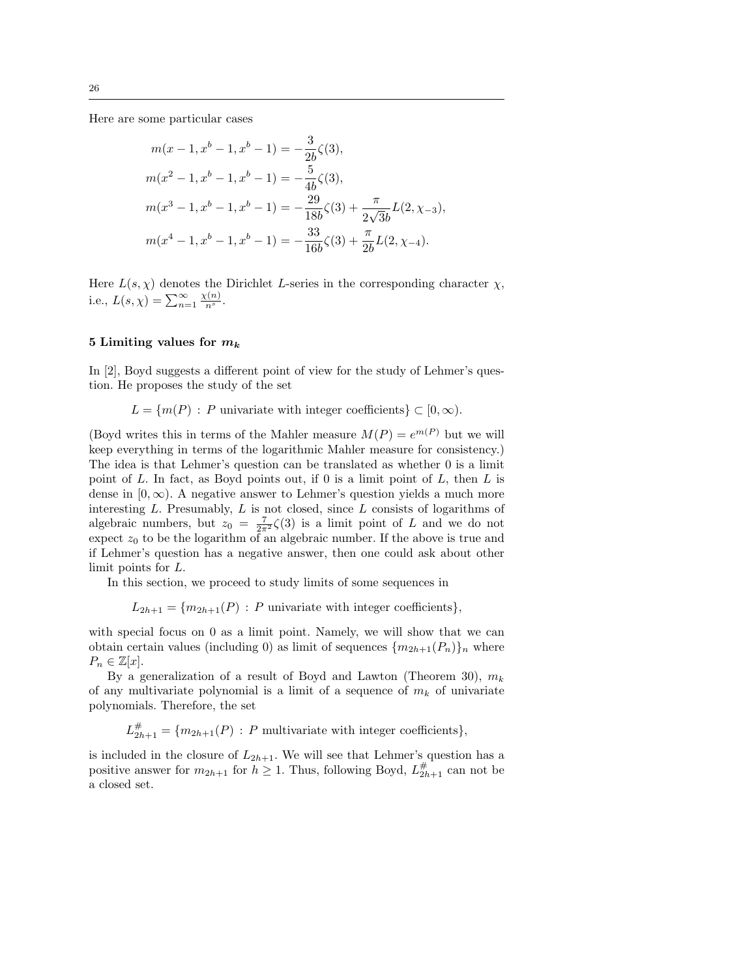Here are some particular cases

$$
m(x - 1, x^{b} - 1, x^{b} - 1) = -\frac{3}{2b}\zeta(3),
$$
  
\n
$$
m(x^{2} - 1, x^{b} - 1, x^{b} - 1) = -\frac{5}{4b}\zeta(3),
$$
  
\n
$$
m(x^{3} - 1, x^{b} - 1, x^{b} - 1) = -\frac{29}{18b}\zeta(3) + \frac{\pi}{2\sqrt{3}b}L(2, \chi_{-3}),
$$
  
\n
$$
m(x^{4} - 1, x^{b} - 1, x^{b} - 1) = -\frac{33}{16b}\zeta(3) + \frac{\pi}{2b}L(2, \chi_{-4}).
$$

Here  $L(s, \chi)$  denotes the Dirichlet L-series in the corresponding character  $\chi$ , i.e.,  $L(s, \chi) = \sum_{n=1}^{\infty} \frac{\chi(n)}{n^s}$ .

## 5 Limiting values for  $m_k$

In [2], Boyd suggests a different point of view for the study of Lehmer's question. He proposes the study of the set

 $L = \{m(P) : P \text{ univariate with integer coefficients}\}\subset [0, \infty).$ 

(Boyd writes this in terms of the Mahler measure  $M(P) = e^{m(P)}$  but we will keep everything in terms of the logarithmic Mahler measure for consistency.) The idea is that Lehmer's question can be translated as whether 0 is a limit point of L. In fact, as Boyd points out, if 0 is a limit point of L, then L is dense in  $[0, \infty)$ . A negative answer to Lehmer's question yields a much more interesting  $L$ . Presumably,  $L$  is not closed, since  $L$  consists of logarithms of algebraic numbers, but  $z_0 = \frac{7}{2\pi^2} \zeta(3)$  is a limit point of L and we do not expect  $z_0$  to be the logarithm of an algebraic number. If the above is true and if Lehmer's question has a negative answer, then one could ask about other limit points for L.

In this section, we proceed to study limits of some sequences in

 $L_{2h+1} = \{m_{2h+1}(P) : P \text{ univariate with integer coefficients}\},\$ 

with special focus on 0 as a limit point. Namely, we will show that we can obtain certain values (including 0) as limit of sequences  ${m_{2h+1}(P_n)}_n$  where  $P_n \in \mathbb{Z}[x].$ 

By a generalization of a result of Boyd and Lawton (Theorem 30),  $m_k$ of any multivariate polynomial is a limit of a sequence of  $m_k$  of univariate polynomials. Therefore, the set

 $L_{2h+1}^{\#} = \{m_{2h+1}(P) : P$  multivariate with integer coefficients},

is included in the closure of  $L_{2h+1}$ . We will see that Lehmer's question has a positive answer for  $m_{2h+1}$  for  $h \geq 1$ . Thus, following Boyd,  $L_{2h+1}^{\#}$  can not be a closed set.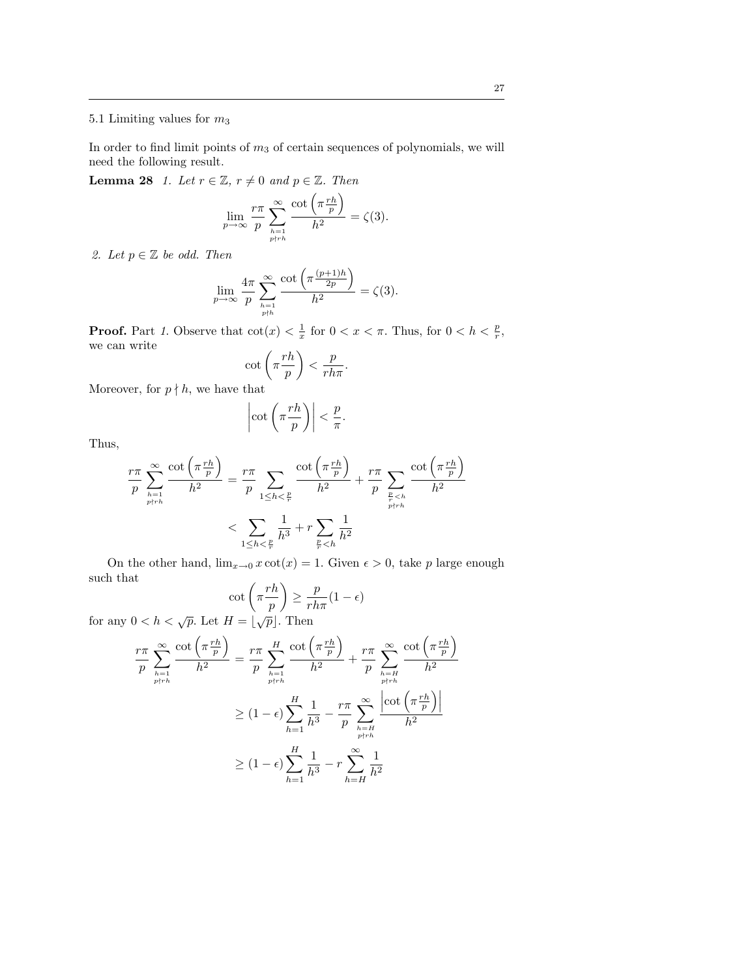# $5.1$  Limiting values for  $m_3$

In order to find limit points of  $m_3$  of certain sequences of polynomials, we will need the following result.

**Lemma 28** 1. Let  $r \in \mathbb{Z}$ ,  $r \neq 0$  and  $p \in \mathbb{Z}$ . Then

$$
\lim_{p \to \infty} \frac{r\pi}{p} \sum_{\substack{h=1 \\ p \nmid rh}}^{\infty} \frac{\cot\left(\pi \frac{rh}{p}\right)}{h^2} = \zeta(3).
$$

2. Let  $p \in \mathbb{Z}$  be odd. Then

$$
\lim_{p \to \infty} \frac{4\pi}{p} \sum_{\substack{h=1 \\ p \nmid h}}^{\infty} \frac{\cot\left(\pi \frac{(p+1)h}{2p}\right)}{h^2} = \zeta(3).
$$

**Proof.** Part 1. Observe that  $\cot(x) < \frac{1}{x}$  for  $0 < x < \pi$ . Thus, for  $0 < h < \frac{p}{r}$ , we can write

$$
\cot\left(\pi\frac{rh}{p}\right) < \frac{p}{rh\pi}.
$$

Moreover, for  $p \nmid h$ , we have that

$$
\left|\cot\left(\pi\frac{rh}{p}\right)\right|<\frac{p}{\pi}.
$$

Thus,

$$
\frac{r\pi}{p} \sum_{h=1 \atop p\nmid rh}^{\infty} \frac{\cot\left(\pi \frac{rh}{p}\right)}{h^2} = \frac{r\pi}{p} \sum_{1 \le h < \frac{p}{r}} \frac{\cot\left(\pi \frac{rh}{p}\right)}{h^2} + \frac{r\pi}{p} \sum_{\frac{p}{r} < h \atop p\nmid rh} \frac{\cot\left(\pi \frac{rh}{p}\right)}{h^2}
$$
\n
$$
< \sum_{1 \le h < \frac{p}{r}} \frac{1}{h^3} + r \sum_{\frac{p}{r} < h} \frac{1}{h^2}
$$

On the other hand,  $\lim_{x\to 0} x \cot(x) = 1$ . Given  $\epsilon > 0$ , take p large enough such that

$$
\cot\left(\pi\frac{rh}{p}\right) \ge \frac{p}{rh\pi}(1-\epsilon)
$$

for any  $0 < h < \sqrt{p}$ . Let  $H = |\sqrt{p}|$ . Then

$$
\frac{r\pi}{p} \sum_{h=1}^{\infty} \frac{\cot\left(\pi \frac{rh}{p}\right)}{h^2} = \frac{r\pi}{p} \sum_{h=1}^{H} \frac{\cot\left(\pi \frac{rh}{p}\right)}{h^2} + \frac{r\pi}{p} \sum_{h=H}^{\infty} \frac{\cot\left(\pi \frac{rh}{p}\right)}{h^2}
$$

$$
\geq (1 - \epsilon) \sum_{h=1}^{H} \frac{1}{h^3} - \frac{r\pi}{p} \sum_{h=H}^{\infty} \frac{\left|\cot\left(\pi \frac{rh}{p}\right)\right|}{h^2}
$$

$$
\geq (1 - \epsilon) \sum_{h=1}^{H} \frac{1}{h^3} - r \sum_{h=H}^{\infty} \frac{1}{h^2}
$$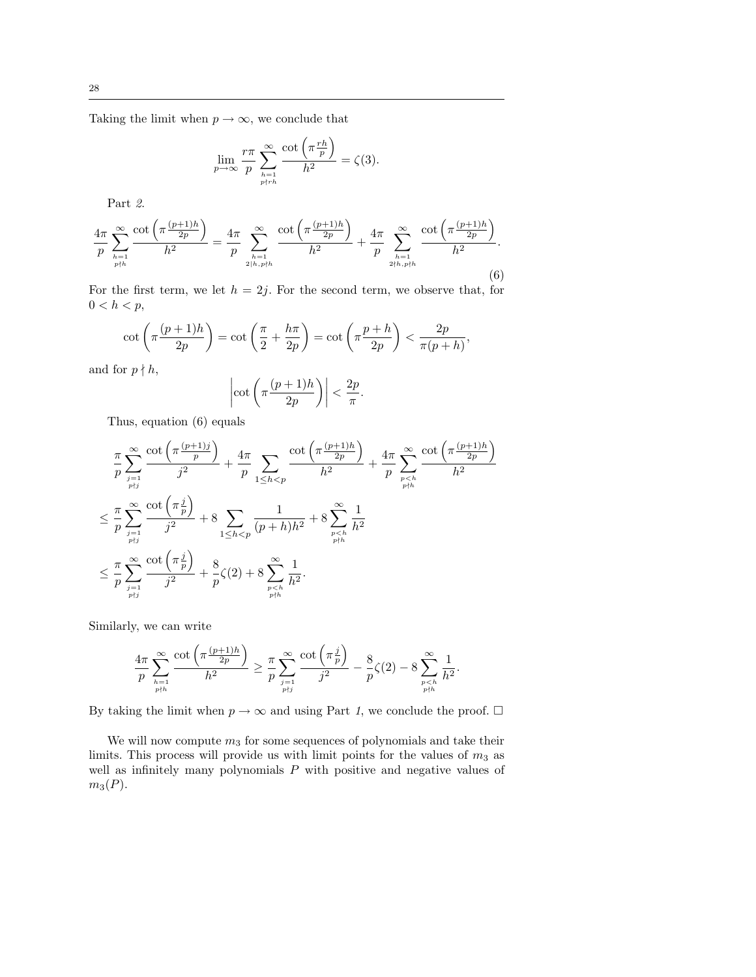Taking the limit when  $p \to \infty$ , we conclude that

$$
\lim_{p \to \infty} \frac{r\pi}{p} \sum_{\substack{h=1 \\ p \nmid r}}^{\infty} \frac{\cot\left(\pi \frac{rh}{p}\right)}{h^2} = \zeta(3).
$$

Part 2.

$$
\frac{4\pi}{p} \sum_{\substack{h=1 \ p\neq h}}^{\infty} \frac{\cot\left(\pi \frac{(p+1)h}{2p}\right)}{h^2} = \frac{4\pi}{p} \sum_{\substack{h=1 \ 2|h, p\nmid h}}^{\infty} \frac{\cot\left(\pi \frac{(p+1)h}{2p}\right)}{h^2} + \frac{4\pi}{p} \sum_{\substack{h=1 \ 2|h, p\nmid h}}^{\infty} \frac{\cot\left(\pi \frac{(p+1)h}{2p}\right)}{h^2}.
$$
\n(6)

For the first term, we let  $h = 2j$ . For the second term, we observe that, for  $0 < h < p$ ,

$$
\cot\left(\pi\frac{(p+1)h}{2p}\right)=\cot\left(\frac{\pi}{2}+\frac{h\pi}{2p}\right)=\cot\left(\pi\frac{p+h}{2p}\right)<\frac{2p}{\pi(p+h)},
$$

and for  $p \nmid h$ ,

$$
\left|\cot\left(\pi\frac{(p+1)h}{2p}\right)\right| < \frac{2p}{\pi}.
$$

Thus, equation (6) equals

$$
\frac{\pi}{p} \sum_{\substack{j=1 \ p \text{ odd}}}^{\infty} \frac{\cot\left(\pi \frac{(p+1)j}{p}\right)}{j^2} + \frac{4\pi}{p} \sum_{1 \le h < p} \frac{\cot\left(\pi \frac{(p+1)h}{2p}\right)}{h^2} + \frac{4\pi}{p} \sum_{\substack{p < h \\ p \nmid h}}^{\infty} \frac{\cot\left(\pi \frac{(p+1)h}{2p}\right)}{h^2}
$$
\n
$$
\le \frac{\pi}{p} \sum_{\substack{j=1 \ p \nmid j}}^{\infty} \frac{\cot\left(\pi \frac{j}{p}\right)}{j^2} + 8 \sum_{1 \le h < p} \frac{1}{(p+h)h^2} + 8 \sum_{\substack{p < h \\ p \nmid h}}^{\infty} \frac{1}{h^2}
$$
\n
$$
\le \frac{\pi}{p} \sum_{\substack{j=1 \ p \nmid j}}^{\infty} \frac{\cot\left(\pi \frac{j}{p}\right)}{j^2} + \frac{8}{p} \zeta(2) + 8 \sum_{\substack{p < h \\ p \nmid h}}^{\infty} \frac{1}{h^2}.
$$

Similarly, we can write

$$
\frac{4\pi}{p}\sum_{h=1\atop p\nmid h}\limits^{\infty}\frac{\cot\left(\pi\frac{(p+1)h}{2p}\right)}{h^2}\geq \frac{\pi}{p}\sum_{j=1\atop p\nmid j}\limits^{\infty}\frac{\cot\left(\pi\frac{j}{p}\right)}{j^2}-\frac{8}{p}\zeta(2)-8\sum_{\substack{p
$$

By taking the limit when  $p \to \infty$  and using Part 1, we conclude the proof.  $\Box$ 

We will now compute  $m_3$  for some sequences of polynomials and take their limits. This process will provide us with limit points for the values of  $m_3$  as well as infinitely many polynomials  $P$  with positive and negative values of  $m_3(P)$ .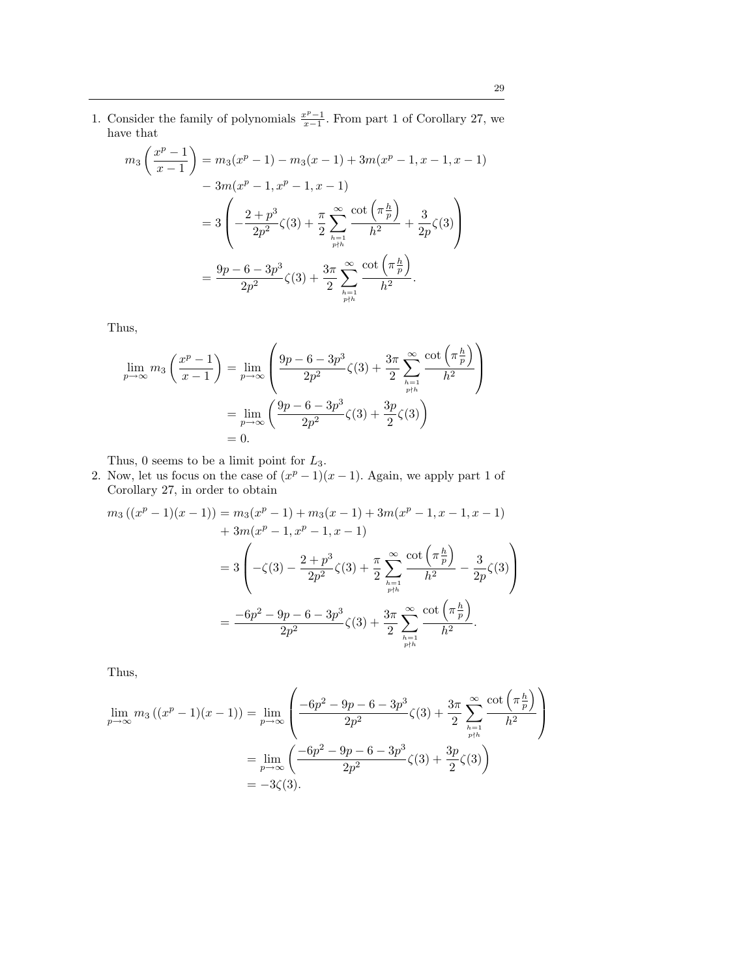1. Consider the family of polynomials  $\frac{x^p-1}{x-1}$ . From part 1 of Corollary 27, we have that

$$
m_3\left(\frac{x^p - 1}{x - 1}\right) = m_3(x^p - 1) - m_3(x - 1) + 3m(x^p - 1, x - 1, x - 1)
$$

$$
- 3m(x^p - 1, x^p - 1, x - 1)
$$

$$
= 3\left(-\frac{2 + p^3}{2p^2}\zeta(3) + \frac{\pi}{2}\sum_{\substack{h=1 \ p\nmid h}}^{\infty} \frac{\cot\left(\pi \frac{h}{p}\right)}{h^2} + \frac{3}{2p}\zeta(3)\right)
$$

$$
= \frac{9p - 6 - 3p^3}{2p^2}\zeta(3) + \frac{3\pi}{2}\sum_{\substack{h=1 \ p\nmid h}}^{\infty} \frac{\cot\left(\pi \frac{h}{p}\right)}{h^2}.
$$

Thus,

$$
\lim_{p \to \infty} m_3 \left( \frac{x^p - 1}{x - 1} \right) = \lim_{p \to \infty} \left( \frac{9p - 6 - 3p^3}{2p^2} \zeta(3) + \frac{3\pi}{2} \sum_{\substack{h=1 \\ p \nmid h}}^{\infty} \frac{\cot \left( \pi \frac{h}{p} \right)}{h^2} \right)
$$

$$
= \lim_{p \to \infty} \left( \frac{9p - 6 - 3p^3}{2p^2} \zeta(3) + \frac{3p}{2} \zeta(3) \right)
$$

$$
= 0.
$$

Thus, 0 seems to be a limit point for  $L_3$ .

2. Now, let us focus on the case of  $(x^p - 1)(x - 1)$ . Again, we apply part 1 of Corollary 27, in order to obtain

$$
m_3((x^p - 1)(x - 1)) = m_3(x^p - 1) + m_3(x - 1) + 3m(x^p - 1, x - 1, x - 1)
$$
  
+ 
$$
3m(x^p - 1, x^p - 1, x - 1)
$$
  
= 
$$
3\left(-\zeta(3) - \frac{2 + p^3}{2p^2}\zeta(3) + \frac{\pi}{2} \sum_{\substack{h=1 \ p\nmid h}}^{\infty} \frac{\cot\left(\pi \frac{h}{p}\right)}{h^2} - \frac{3}{2p}\zeta(3)\right)
$$
  
= 
$$
\frac{-6p^2 - 9p - 6 - 3p^3}{2p^2}\zeta(3) + \frac{3\pi}{2} \sum_{\substack{h=1 \ p\nmid h}}^{\infty} \frac{\cot\left(\pi \frac{h}{p}\right)}{h^2}.
$$

Thus,

$$
\lim_{p \to \infty} m_3 ((x^p - 1)(x - 1)) = \lim_{p \to \infty} \left( \frac{-6p^2 - 9p - 6 - 3p^3}{2p^2} \zeta(3) + \frac{3\pi}{2} \sum_{h=1 \atop p \nmid h}^{\infty} \frac{\cot \left(\pi \frac{h}{p}\right)}{h^2} \right)
$$
\n
$$
= \lim_{p \to \infty} \left( \frac{-6p^2 - 9p - 6 - 3p^3}{2p^2} \zeta(3) + \frac{3p}{2} \zeta(3) \right)
$$
\n
$$
= -3\zeta(3).
$$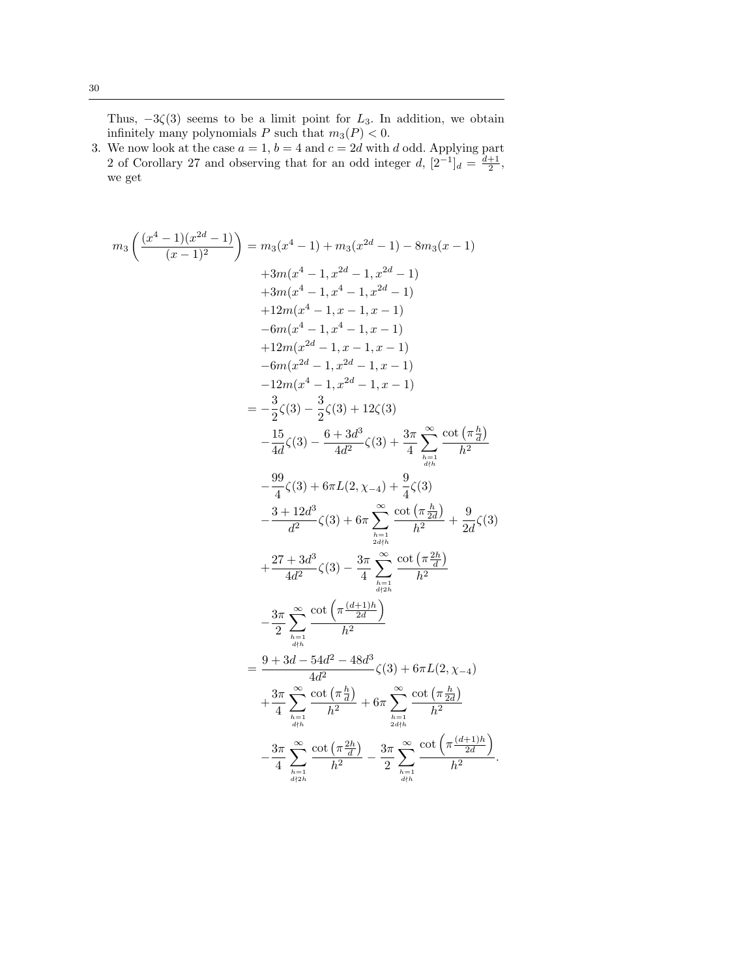Thus,  $-3\zeta(3)$  seems to be a limit point for  $L_3$ . In addition, we obtain infinitely many polynomials P such that  $m_3(P) < 0$ .

3. We now look at the case  $a = 1$ ,  $b = 4$  and  $c = 2d$  with d odd. Applying part 2 of Corollary 27 and observing that for an odd integer  $d$ ,  $[2^{-1}]_d = \frac{d+1}{2}$ , we get

$$
m_3\left(\frac{(x^4-1)(x^{2d}-1)}{(x-1)^2}\right) = m_3(x^4-1) + m_3(x^{2d}-1) - 8m_3(x-1) \n+3m(x^4-1, x^{2d}-1, x^{2d}-1) \n+3m(x^4-1, x^4-1, x^{2d}-1) \n+12m(x^4-1, x-1, x-1) \n-6m(x^4-1, x^4-1, x-1) \n+12m(x^{2d}-1, x-1, x-1) \n-6m(x^{2d}-1, x^{2d}-1, x-1) \n-12m(x^4-1, x^{2d}-1, x-1) \n= -\frac{3}{2}\zeta(3) - \frac{3}{2}\zeta(3) + 12\zeta(3) \n- \frac{15}{4d}\zeta(3) - \frac{6+3d^3}{4d^2}\zeta(3) + \frac{3\pi}{4}\sum_{\substack{n=1 \ n\neq n}}^{\infty} \frac{\cot(\pi \frac{h}{d})}{h^2} \n- \frac{99}{4}\zeta(3) + 6\pi L(2, \chi_{-4}) + \frac{9}{4}\zeta(3) \n- \frac{3+12d^3}{d^2}\zeta(3) + 6\pi \sum_{\substack{n=1 \ n\neq n}}^{\infty} \frac{\cot(\pi \frac{h}{2d})}{h^2} + \frac{9}{2d}\zeta(3) \n+ \frac{27+3d^3}{4d^2}\zeta(3) - \frac{3\pi}{4}\sum_{\substack{n=1 \ n\neq n}}^{\infty} \frac{\cot(\pi \frac{h}{2d})}{h^2} \n- \frac{3\pi}{2}\sum_{\substack{n=1 \ n\neq n}}^{\infty} \frac{\cot(\pi \frac{(n+1)h}{d})}{h^2} \n- \frac{3\pi}{2}\sum_{\substack{n=1 \ n\neq n}}^{\infty} \frac{\cot(\pi \frac{(n+1)h}{d})}{h^2} \n= \frac{9+3d-54d^2-48d^3}{4d^2}\zeta(3) + 6\pi L(2, \chi_{-4}) \n+ \frac{3\pi}{4}\sum_{\substack{n=1 \ n\neq n}}^{\
$$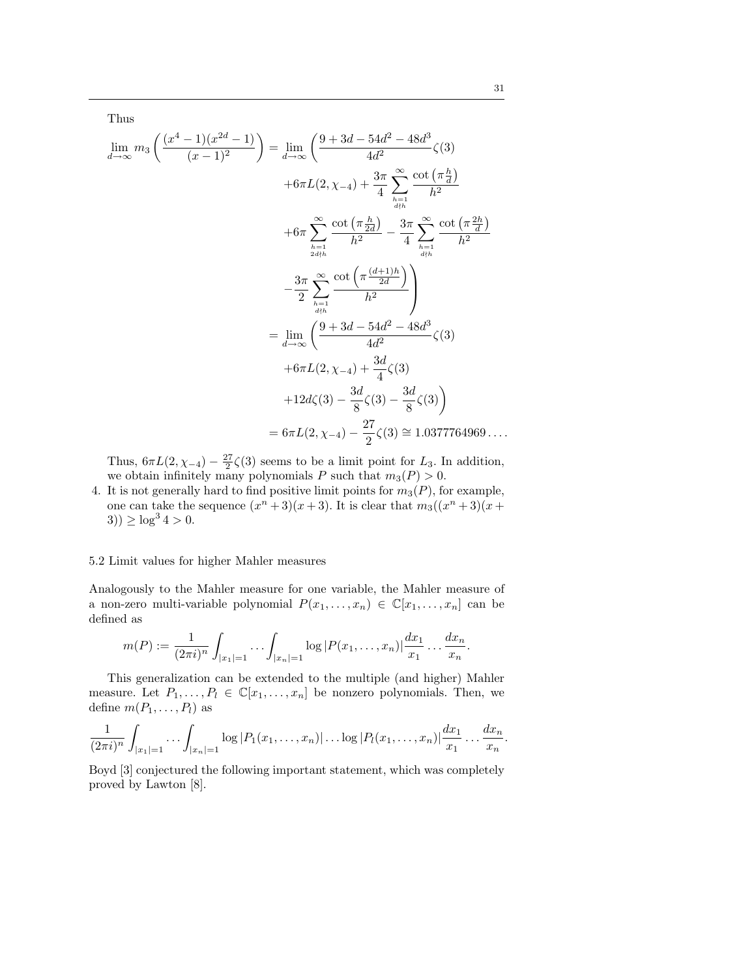Thus

$$
\lim_{d \to \infty} m_3 \left( \frac{(x^4 - 1)(x^{2d} - 1)}{(x - 1)^2} \right) = \lim_{d \to \infty} \left( \frac{9 + 3d - 54d^2 - 48d^3}{4d^2} \zeta(3) + 6\pi L(2, \chi_{-4}) + \frac{3\pi}{4} \sum_{\substack{h=1 \text{odd } h}}^{\infty} \frac{\cot(\pi \frac{h}{d})}{h^2} + 6\pi \sum_{\substack{h=1 \text{odd } h}}^{\infty} \frac{\cot(\pi \frac{h}{2d})}{h^2} - \frac{3\pi}{4} \sum_{\substack{h=1 \text{odd } h}}^{\infty} \frac{\cot(\pi \frac{2h}{d})}{h^2} + 6\pi \sum_{\substack{h=1 \text{odd } h}}^{\infty} \frac{\cot(\pi \frac{4h + 1}{2d})}{h^2} + \frac{3\pi}{2} \sum_{\substack{h=1 \text{odd } h}}^{\infty} \frac{\cot(\pi \frac{(d+1)h}{2d})}{h^2} + \frac{3\pi}{4} \sum_{\substack{h=1 \text{odd } h}}^{\infty} \frac{\cot(\pi \frac{(d+1)h}{2d})}{h^2} + 6\pi L(2, \chi_{-4}) + \frac{3d}{4} \zeta(3) + 12d\zeta(3) - \frac{3d}{8} \zeta(3) - \frac{3d}{8} \zeta(3) - \frac{3d}{8} \zeta(3) = 1.0377764969 \dots
$$

Thus,  $6\pi L(2, \chi_{-4}) - \frac{27}{2}\zeta(3)$  seems to be a limit point for  $L_3$ . In addition, we obtain infinitely many polynomials P such that  $m_3(P) > 0$ .

4. It is not generally hard to find positive limit points for  $m_3(P)$ , for example, one can take the sequence  $(x^{n}+3)(x+3)$ . It is clear that  $m_{3}((x^{n}+3)(x+3))$  $3)$ )  $\geq \log^3 4 > 0$ .

#### 5.2 Limit values for higher Mahler measures

Analogously to the Mahler measure for one variable, the Mahler measure of a non-zero multi-variable polynomial  $P(x_1, \ldots, x_n) \in \mathbb{C}[x_1, \ldots, x_n]$  can be defined as

$$
m(P) := \frac{1}{(2\pi i)^n} \int_{|x_1|=1} \cdots \int_{|x_n|=1} \log |P(x_1,\ldots,x_n)| \frac{dx_1}{x_1} \ldots \frac{dx_n}{x_n}.
$$

This generalization can be extended to the multiple (and higher) Mahler measure. Let  $P_1, \ldots, P_l \in \mathbb{C}[x_1, \ldots, x_n]$  be nonzero polynomials. Then, we define  $m(P_1, \ldots, P_l)$  as

$$
\frac{1}{(2\pi i)^n} \int_{|x_1|=1} \cdots \int_{|x_n|=1} \log |P_1(x_1,\ldots,x_n)| \ldots \log |P_l(x_1,\ldots,x_n)| \frac{dx_1}{x_1} \ldots \frac{dx_n}{x_n}.
$$

Boyd [3] conjectured the following important statement, which was completely proved by Lawton [8].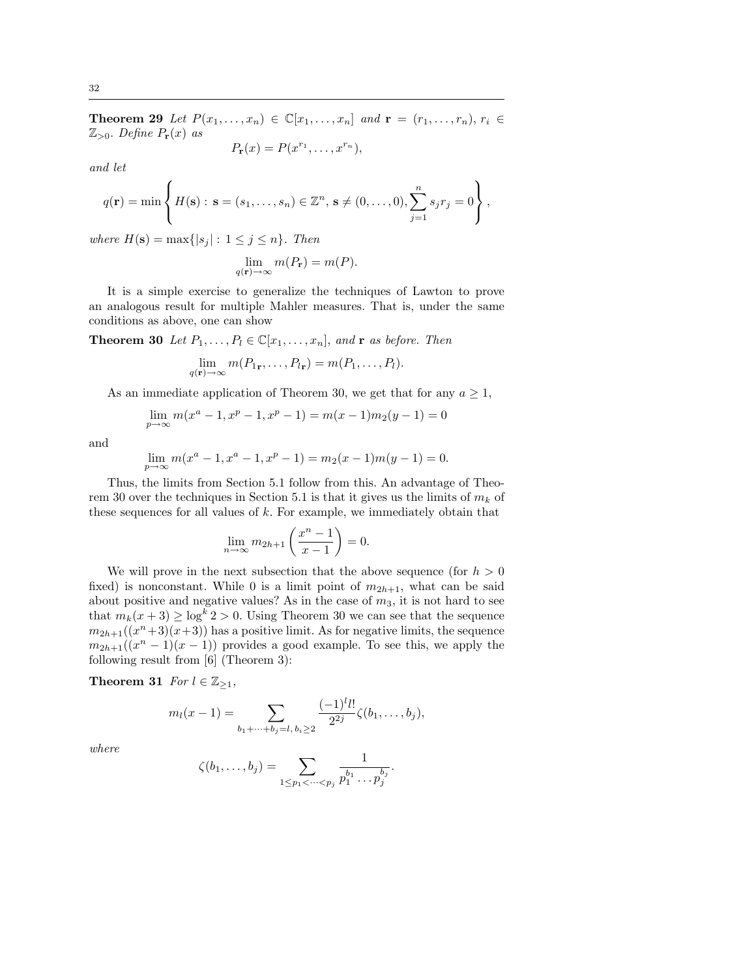**Theorem 29** Let  $P(x_1, \ldots, x_n) \in \mathbb{C}[x_1, \ldots, x_n]$  and  $\mathbf{r} = (r_1, \ldots, r_n)$ ,  $r_i \in \mathbb{C}[x_1, \ldots, x_n]$  $\mathbb{Z}_{>0}$ . Define  $P_{\bf r}(x)$  as

$$
P_{\mathbf{r}}(x) = P(x^{r_1}, \dots, x^{r_n}),
$$

and let

$$
q(\mathbf{r}) = \min \left\{ H(\mathbf{s}) : \mathbf{s} = (s_1, \dots, s_n) \in \mathbb{Z}^n, \, \mathbf{s} \neq (0, \dots, 0), \sum_{j=1}^n s_j r_j = 0 \right\},\,
$$

where  $H(\mathbf{s}) = \max\{|s_j| : 1 \leq j \leq n\}$ . Then

$$
\lim_{q(\mathbf{r}) \to \infty} m(P_{\mathbf{r}}) = m(P).
$$

It is a simple exercise to generalize the techniques of Lawton to prove an analogous result for multiple Mahler measures. That is, under the same conditions as above, one can show

**Theorem 30** Let  $P_1, \ldots, P_l \in \mathbb{C}[x_1, \ldots, x_n]$ , and **r** as before. Then

$$
\lim_{q(\mathbf{r}) \to \infty} m(P_{1\mathbf{r}}, \dots, P_{l\mathbf{r}}) = m(P_1, \dots, P_l).
$$

As an immediate application of Theorem 30, we get that for any  $a \geq 1$ ,

$$
\lim_{p \to \infty} m(x^a - 1, x^p - 1, x^p - 1) = m(x - 1)m_2(y - 1) = 0
$$

and

$$
\lim_{p \to \infty} m(x^a - 1, x^a - 1, x^p - 1) = m_2(x - 1)m(y - 1) = 0.
$$

Thus, the limits from Section 5.1 follow from this. An advantage of Theorem 30 over the techniques in Section 5.1 is that it gives us the limits of  $m_k$  of these sequences for all values of  $k$ . For example, we immediately obtain that

$$
\lim_{n \to \infty} m_{2h+1} \left( \frac{x^n - 1}{x - 1} \right) = 0.
$$

We will prove in the next subsection that the above sequence (for  $h > 0$ fixed) is nonconstant. While 0 is a limit point of  $m_{2h+1}$ , what can be said about positive and negative values? As in the case of  $m_3$ , it is not hard to see that  $m_k(x+3) \geq \log^k 2 > 0$ . Using Theorem 30 we can see that the sequence  $m_{2h+1}((x^{n}+3)(x+3))$  has a positive limit. As for negative limits, the sequence  $m_{2h+1}((x^{n}-1)(x-1))$  provides a good example. To see this, we apply the following result from [6] (Theorem 3):

Theorem 31 For  $l \in \mathbb{Z}_{\geq 1}$ ,

$$
m_l(x-1) = \sum_{b_1+\cdots+b_j=l, b_i\geq 2} \frac{(-1)^{l}l!}{2^{2j}} \zeta(b_1,\ldots,b_j),
$$

where

$$
\zeta(b_1,\ldots,b_j) = \sum_{1 \le p_1 < \cdots < p_j} \frac{1}{p_1^{b_1} \cdots p_j^{b_j}}.
$$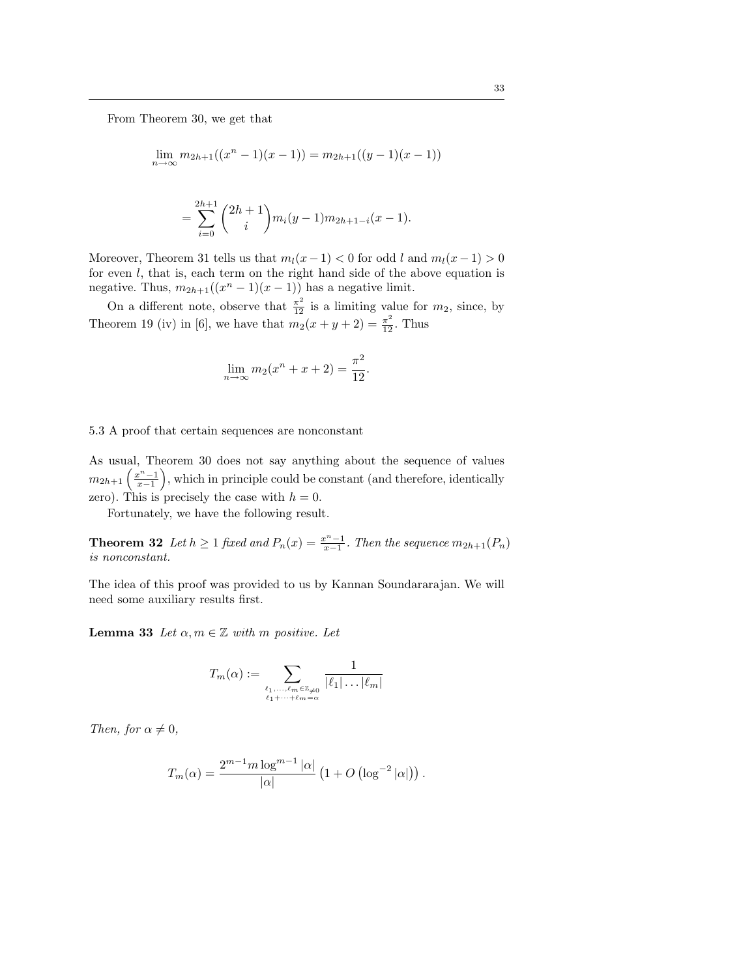From Theorem 30, we get that

$$
\lim_{n \to \infty} m_{2h+1}((x^n - 1)(x - 1)) = m_{2h+1}((y - 1)(x - 1))
$$

$$
=\sum_{i=0}^{2h+1} {2h+1 \choose i} m_i(y-1)m_{2h+1-i}(x-1).
$$

Moreover, Theorem 31 tells us that  $m_l(x - 1) < 0$  for odd l and  $m_l(x - 1) > 0$ for even l, that is, each term on the right hand side of the above equation is negative. Thus,  $m_{2h+1}((x^n - 1)(x - 1))$  has a negative limit.

On a different note, observe that  $\frac{\pi^2}{12}$  is a limiting value for  $m_2$ , since, by Theorem 19 (iv) in [6], we have that  $m_2(x + y + 2) = \frac{\pi^2}{12}$ . Thus

$$
\lim_{n \to \infty} m_2(x^n + x + 2) = \frac{\pi^2}{12}
$$

.

5.3 A proof that certain sequences are nonconstant

As usual, Theorem 30 does not say anything about the sequence of values  $m_{2h+1}(\frac{x^{n}-1}{x-1})$ , which in principle could be constant (and therefore, identically zero). This is precisely the case with  $h = 0$ .

Fortunately, we have the following result.

**Theorem 32** Let  $h \geq 1$  fixed and  $P_n(x) = \frac{x^n - 1}{x - 1}$ . Then the sequence  $m_{2h+1}(P_n)$ is nonconstant.

The idea of this proof was provided to us by Kannan Soundararajan. We will need some auxiliary results first.

**Lemma 33** Let  $\alpha, m \in \mathbb{Z}$  with m positive. Let

$$
T_m(\alpha) := \sum_{\substack{\ell_1,\ldots,\ell_m \in \mathbb{Z}_{\neq 0} \\ \ell_1+\cdots+\ell_m=\alpha}} \frac{1}{|\ell_1|\ldots|\ell_m|}
$$

Then, for  $\alpha \neq 0$ ,

$$
T_m(\alpha) = \frac{2^{m-1} m \log^{m-1} |\alpha|}{|\alpha|} \left( 1 + O\left( \log^{-2} |\alpha| \right) \right).
$$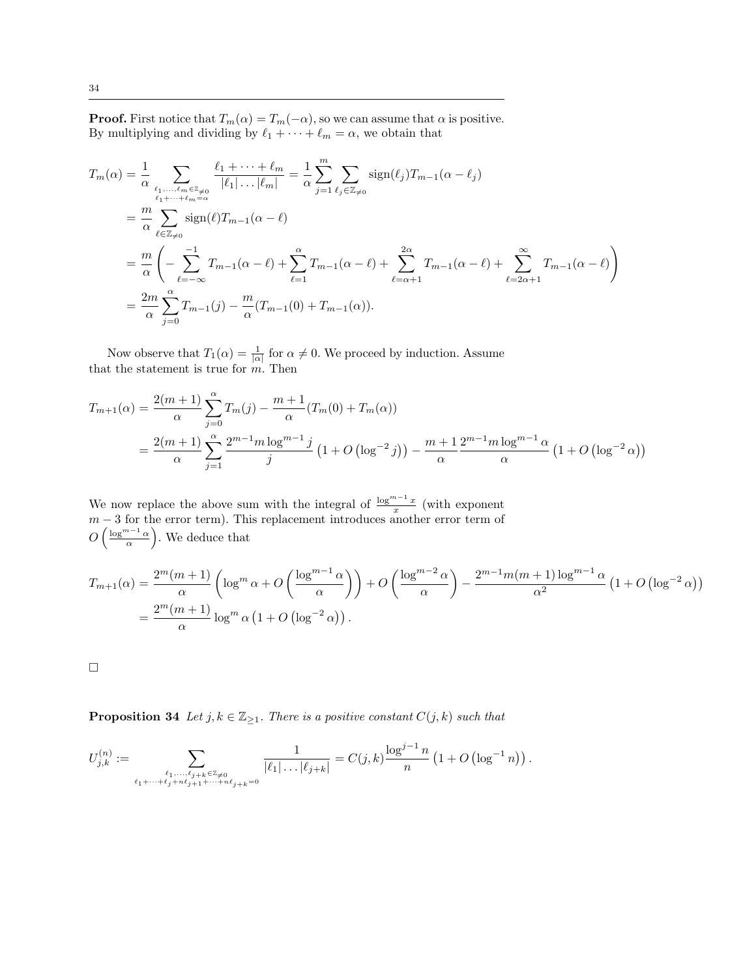**Proof.** First notice that  $T_m(\alpha) = T_m(-\alpha)$ , so we can assume that  $\alpha$  is positive. By multiplying and dividing by  $\ell_1 + \cdots + \ell_m = \alpha$ , we obtain that

$$
T_m(\alpha) = \frac{1}{\alpha} \sum_{\substack{\ell_1, \ldots, \ell_m \in \mathbb{Z}_{\neq 0} \\ \ell_1 + \cdots + \ell_m = \alpha}} \frac{\ell_1 + \cdots + \ell_m}{|\ell_1| \ldots |\ell_m|} = \frac{1}{\alpha} \sum_{j=1}^m \sum_{\ell_j \in \mathbb{Z}_{\neq 0}} sign(\ell) T_{m-1}(\alpha - \ell_j)
$$
  
\n
$$
= \frac{m}{\alpha} \sum_{\ell \in \mathbb{Z}_{\neq 0}} sign(\ell) T_{m-1}(\alpha - \ell)
$$
  
\n
$$
= \frac{m}{\alpha} \left( - \sum_{\ell = -\infty}^{-1} T_{m-1}(\alpha - \ell) + \sum_{\ell = 1}^{\infty} T_{m-1}(\alpha - \ell) + \sum_{\ell = \alpha + 1}^{2\alpha} T_{m-1}(\alpha - \ell) + \sum_{\ell = 2\alpha + 1}^{\infty} T_{m-1}(\alpha - \ell) \right)
$$
  
\n
$$
= \frac{2m}{\alpha} \sum_{j=0}^{\infty} T_{m-1}(j) - \frac{m}{\alpha} (T_{m-1}(0) + T_{m-1}(\alpha)).
$$

Now observe that  $T_1(\alpha) = \frac{1}{|\alpha|}$  for  $\alpha \neq 0$ . We proceed by induction. Assume that the statement is true for  $m$ . Then

$$
T_{m+1}(\alpha) = \frac{2(m+1)}{\alpha} \sum_{j=0}^{\alpha} T_m(j) - \frac{m+1}{\alpha} (T_m(0) + T_m(\alpha))
$$
  
= 
$$
\frac{2(m+1)}{\alpha} \sum_{j=1}^{\alpha} \frac{2^{m-1} m \log^{m-1} j}{j} \left(1 + O\left(\log^{-2} j\right)\right) - \frac{m+1}{\alpha} \frac{2^{m-1} m \log^{m-1} \alpha}{\alpha} \left(1 + O\left(\log^{-2} \alpha\right)\right)
$$

We now replace the above sum with the integral of  $\frac{\log^{m-1} x}{x}$  (with exponent  $m-3$  for the error term). This replacement introduces another error term of  $O\left(\frac{\log^{m-1} \alpha}{\alpha}\right)$ . We deduce that

$$
T_{m+1}(\alpha) = \frac{2^m(m+1)}{\alpha} \left( \log^m \alpha + O\left( \frac{\log^{m-1} \alpha}{\alpha} \right) \right) + O\left( \frac{\log^{m-2} \alpha}{\alpha} \right) - \frac{2^{m-1} m (m+1) \log^{m-1} \alpha}{\alpha^2} \left( 1 + O\left( \log^{-2} \alpha \right) \right)
$$
  
= 
$$
\frac{2^m (m+1)}{\alpha} \log^m \alpha \left( 1 + O\left( \log^{-2} \alpha \right) \right).
$$

 $\Box$ 

**Proposition 34** Let  $j, k \in \mathbb{Z}_{\geq 1}$ . There is a positive constant  $C(j, k)$  such that

$$
U_{j,k}^{(n)} := \sum_{\substack{\ell_1,\ldots,\ell_{j+k} \in \mathbb{Z}_{\neq 0} \\ \ell_1 + \cdots + \ell_j + n\ell_{j+1} + \cdots + n\ell_{j+k} = 0}} \frac{1}{|\ell_1| \ldots |\ell_{j+k}|} = C(j,k) \frac{\log^{j-1} n}{n} \left(1 + O\left(\log^{-1} n\right)\right).
$$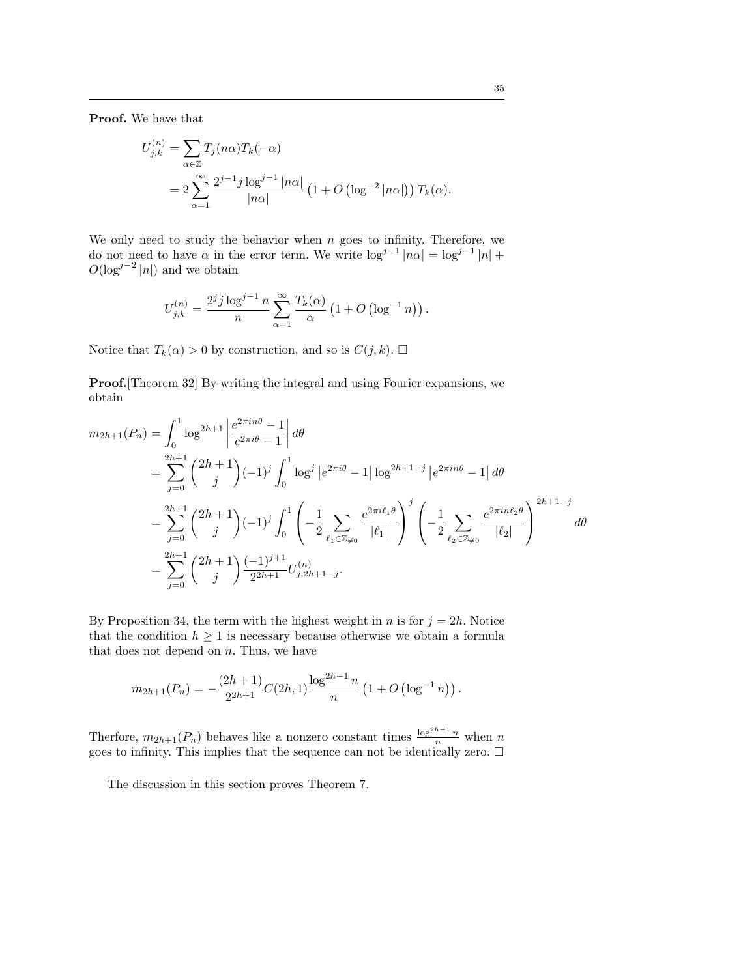Proof. We have that

$$
U_{j,k}^{(n)} = \sum_{\alpha \in \mathbb{Z}} T_j(n\alpha) T_k(-\alpha)
$$
  
= 
$$
2 \sum_{\alpha=1}^{\infty} \frac{2^{j-1} j \log^{j-1} |n\alpha|}{|n\alpha|} \left(1 + O\left(\log^{-2} |n\alpha|\right)\right) T_k(\alpha).
$$

We only need to study the behavior when  $n$  goes to infinity. Therefore, we do not need to have  $\alpha$  in the error term. We write  $\log^{j-1}|n\alpha| = \log^{j-1}|n| +$  $O(\log^{j-2}|n|)$  and we obtain

$$
U_{j,k}^{(n)} = \frac{2^j j \log^{j-1} n}{n} \sum_{\alpha=1}^{\infty} \frac{T_k(\alpha)}{\alpha} \left(1 + O\left(\log^{-1} n\right)\right).
$$

Notice that  $T_k(\alpha) > 0$  by construction, and so is  $C(j, k)$ .  $\Box$ 

Proof.[Theorem 32] By writing the integral and using Fourier expansions, we obtain

$$
m_{2h+1}(P_n) = \int_0^1 \log^{2h+1} \left| \frac{e^{2\pi i n \theta} - 1}{e^{2\pi i \theta} - 1} \right| d\theta
$$
  
\n
$$
= \sum_{j=0}^{2h+1} {2h+1 \choose j} (-1)^j \int_0^1 \log^j |e^{2\pi i \theta} - 1| \log^{2h+1-j} |e^{2\pi i n \theta} - 1| d\theta
$$
  
\n
$$
= \sum_{j=0}^{2h+1} {2h+1 \choose j} (-1)^j \int_0^1 \left( -\frac{1}{2} \sum_{\ell_1 \in \mathbb{Z}_{\neq 0}} \frac{e^{2\pi i \ell_1 \theta}}{|\ell_1|} \right)^j \left( -\frac{1}{2} \sum_{\ell_2 \in \mathbb{Z}_{\neq 0}} \frac{e^{2\pi i n \ell_2 \theta}}{|\ell_2|} \right)^{2h+1-j} d\theta
$$
  
\n
$$
= \sum_{j=0}^{2h+1} {2h+1 \choose j} \frac{(-1)^{j+1}}{2^{2h+1}} U_{j,2h+1-j}^{(n)}.
$$

By Proposition 34, the term with the highest weight in n is for  $j = 2h$ . Notice that the condition  $h \geq 1$  is necessary because otherwise we obtain a formula that does not depend on  $n$ . Thus, we have

$$
m_{2h+1}(P_n) = -\frac{(2h+1)}{2^{2h+1}}C(2h,1)\frac{\log^{2h-1}n}{n}\left(1+O\left(\log^{-1}n\right)\right).
$$

Therfore,  $m_{2h+1}(P_n)$  behaves like a nonzero constant times  $\frac{\log^{2h-1} n}{n}$  when n goes to infinity. This implies that the sequence can not be identically zero.  $\Box$ 

The discussion in this section proves Theorem 7.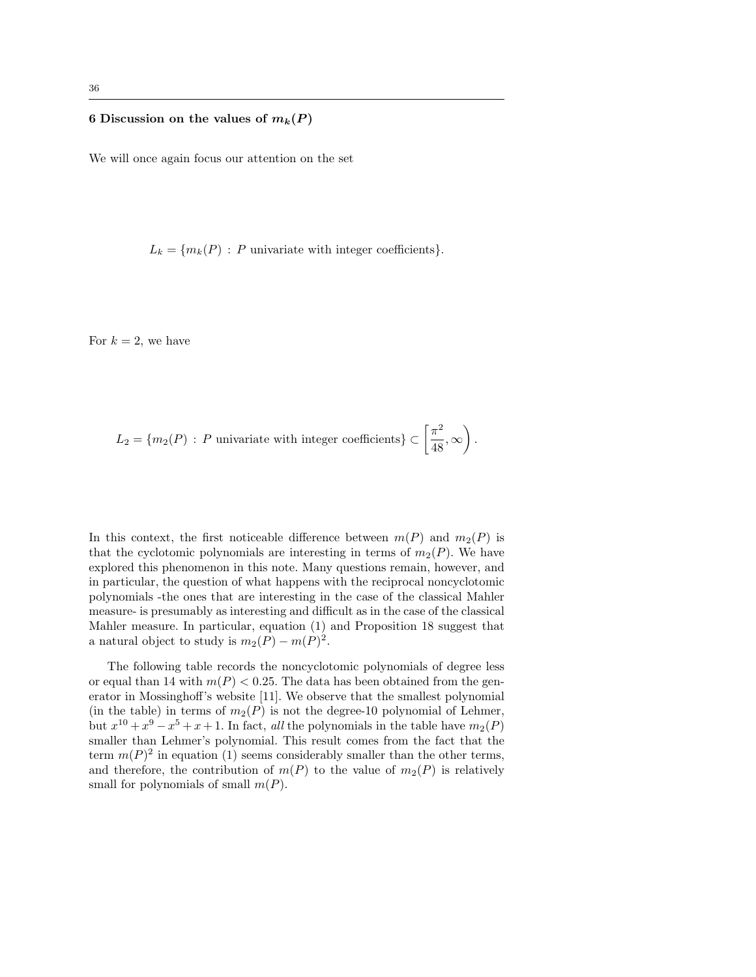## 6 Discussion on the values of  $m_k(P)$

We will once again focus our attention on the set

 $L_k = \{m_k(P) : P \text{ univariate with integer coefficients}\}.$ 

For  $k = 2$ , we have

$$
L_2 = \{m_2(P) : P \text{ univariate with integer coefficients}\} \subset \left[\frac{\pi^2}{48}, \infty\right).
$$

In this context, the first noticeable difference between  $m(P)$  and  $m_2(P)$  is that the cyclotomic polynomials are interesting in terms of  $m_2(P)$ . We have explored this phenomenon in this note. Many questions remain, however, and in particular, the question of what happens with the reciprocal noncyclotomic polynomials -the ones that are interesting in the case of the classical Mahler measure- is presumably as interesting and difficult as in the case of the classical Mahler measure. In particular, equation (1) and Proposition 18 suggest that a natural object to study is  $m_2(P) - m(P)^2$ .

The following table records the noncyclotomic polynomials of degree less or equal than 14 with  $m(P) < 0.25$ . The data has been obtained from the generator in Mossinghoff's website [11]. We observe that the smallest polynomial (in the table) in terms of  $m_2(P)$  is not the degree-10 polynomial of Lehmer, but  $x^{10} + x^9 - x^5 + x + 1$ . In fact, all the polynomials in the table have  $m_2(P)$ smaller than Lehmer's polynomial. This result comes from the fact that the term  $m(P)^2$  in equation (1) seems considerably smaller than the other terms, and therefore, the contribution of  $m(P)$  to the value of  $m_2(P)$  is relatively small for polynomials of small  $m(P)$ .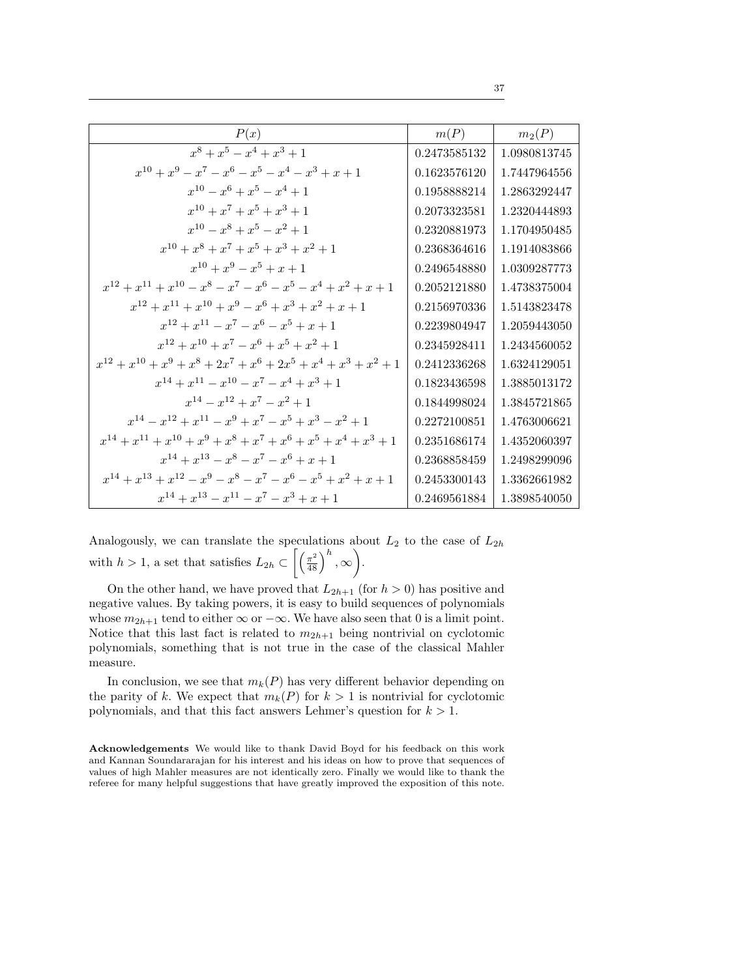| ٠.<br>٦<br>×<br>۰. | ٠ |
|--------------------|---|
|                    |   |

| P(x)                                                                     | m(P)         | $m_2(P)$     |
|--------------------------------------------------------------------------|--------------|--------------|
| $x^8 + x^5 - x^4 + x^3 + 1$                                              | 0.2473585132 | 1.0980813745 |
| $x^{10} + x^9 - x^7 - x^6 - x^5 - x^4 - x^3 + x + 1$                     | 0.1623576120 | 1.7447964556 |
| $x^{10} - x^6 + x^5 - x^4 + 1$                                           | 0.1958888214 | 1.2863292447 |
| $x^{10} + x^7 + x^5 + x^3 + 1$                                           | 0.2073323581 | 1.2320444893 |
| $x^{10} - x^8 + x^5 - x^2 + 1$                                           | 0.2320881973 | 1.1704950485 |
| $x^{10} + x^8 + x^7 + x^5 + x^3 + x^2 + 1$                               | 0.2368364616 | 1.1914083866 |
| $x^{10} + x^9 - x^5 + x + 1$                                             | 0.2496548880 | 1.0309287773 |
| $x^{12} + x^{11} + x^{10} - x^8 - x^7 - x^6 - x^5 - x^4 + x^2 + x + 1$   | 0.2052121880 | 1.4738375004 |
| $x^{12} + x^{11} + x^{10} + x^9 - x^6 + x^3 + x^2 + x + 1$               | 0.2156970336 | 1.5143823478 |
| $x^{12} + x^{11} - x^7 - x^6 - x^5 + x + 1$                              | 0.2239804947 | 1.2059443050 |
| $x^{12} + x^{10} + x^7 - x^6 + x^5 + x^2 + 1$                            | 0.2345928411 | 1.2434560052 |
| $x^{12} + x^{10} + x^9 + x^8 + 2x^7 + x^6 + 2x^5 + x^4 + x^3 + x^2 + 1$  | 0.2412336268 | 1.6324129051 |
| $x^{14} + x^{11} - x^{10} - x^7 - x^4 + x^3 + 1$                         | 0.1823436598 | 1.3885013172 |
| $x^{14} - x^{12} + x^7 - x^2 + 1$                                        | 0.1844998024 | 1.3845721865 |
| $x^{14} - x^{12} + x^{11} - x^9 + x^7 - x^5 + x^3 - x^2 + 1$             | 0.2272100851 | 1.4763006621 |
| $x^{14} + x^{11} + x^{10} + x^9 + x^8 + x^7 + x^6 + x^5 + x^4 + x^3 + 1$ | 0.2351686174 | 1.4352060397 |
| $x^{14} + x^{13} - x^8 - x^7 - x^6 + x + 1$                              | 0.2368858459 | 1.2498299096 |
| $x^{14} + x^{13} + x^{12} - x^9 - x^8 - x^7 - x^6 - x^5 + x^2 + x + 1$   | 0 2453300143 | 1.3362661982 |
| $x^{14} + x^{13} - x^{11} - x^7 - x^3 + x + 1$                           | 0.2469561884 | 1.3898540050 |

Analogously, we can translate the speculations about  $L_2$  to the case of  $L_{2h}$ with  $h > 1$ , a set that satisfies  $L_{2h} \subset \left[ \left( \frac{\pi^2}{48} \right)^h, \infty \right)$ .

On the other hand, we have proved that  $L_{2h+1}$  (for  $h > 0$ ) has positive and negative values. By taking powers, it is easy to build sequences of polynomials whose  $m_{2h+1}$  tend to either  $\infty$  or  $-\infty$ . We have also seen that 0 is a limit point. Notice that this last fact is related to  $m_{2h+1}$  being nontrivial on cyclotomic polynomials, something that is not true in the case of the classical Mahler measure.

In conclusion, we see that  $m_k(P)$  has very different behavior depending on the parity of k. We expect that  $m_k(P)$  for  $k > 1$  is nontrivial for cyclotomic polynomials, and that this fact answers Lehmer's question for  $k > 1$ .

Acknowledgements We would like to thank David Boyd for his feedback on this work and Kannan Soundararajan for his interest and his ideas on how to prove that sequences of values of high Mahler measures are not identically zero. Finally we would like to thank the referee for many helpful suggestions that have greatly improved the exposition of this note.